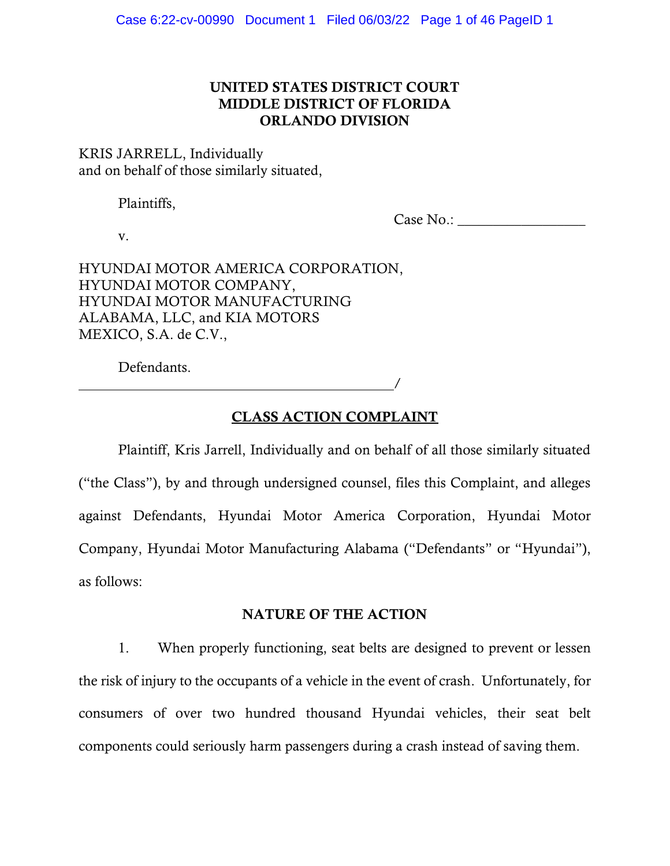# UNITED STATES DISTRICT COURT MIDDLE DISTRICT OF FLORIDA ORLANDO DIVISION

KRIS JARRELL, Individually and on behalf of those similarly situated,

Plaintiffs,

Case No.:

v.

HYUNDAI MOTOR AMERICA CORPORATION, HYUNDAI MOTOR COMPANY, HYUNDAI MOTOR MANUFACTURING ALABAMA, LLC, and KIA MOTORS MEXICO, S.A. de C.V.,

Defendants.

# CLASS ACTION COMPLAINT

/

Plaintiff, Kris Jarrell, Individually and on behalf of all those similarly situated ("the Class"), by and through undersigned counsel, files this Complaint, and alleges against Defendants, Hyundai Motor America Corporation, Hyundai Motor Company, Hyundai Motor Manufacturing Alabama ("Defendants" or "Hyundai"), as follows:

### NATURE OF THE ACTION

1. When properly functioning, seat belts are designed to prevent or lessen the risk of injury to the occupants of a vehicle in the event of crash. Unfortunately, for consumers of over two hundred thousand Hyundai vehicles, their seat belt components could seriously harm passengers during a crash instead of saving them.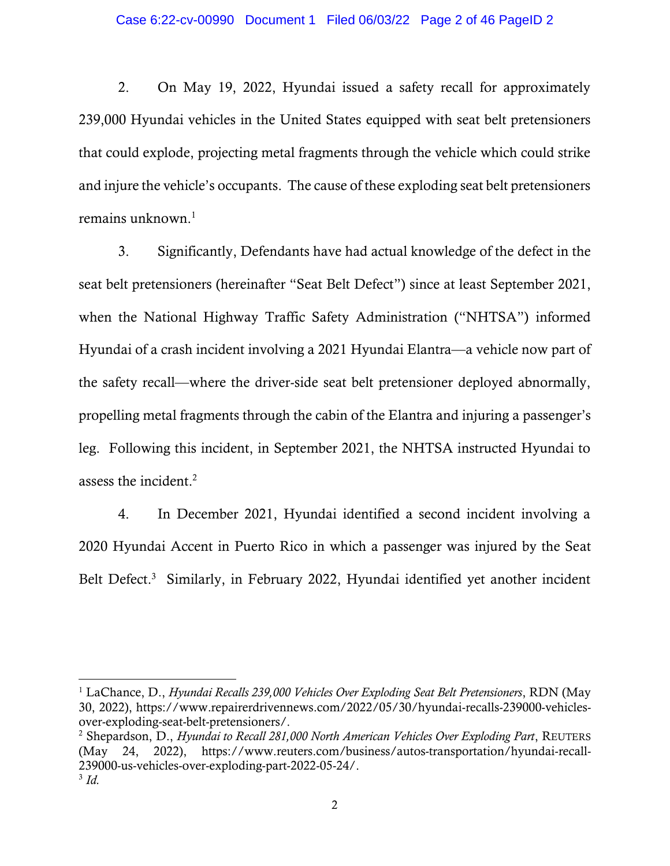2. On May 19, 2022, Hyundai issued a safety recall for approximately 239,000 Hyundai vehicles in the United States equipped with seat belt pretensioners that could explode, projecting metal fragments through the vehicle which could strike and injure the vehicle's occupants. The cause of these exploding seat belt pretensioners remains unknown. $<sup>1</sup>$ </sup>

3. Significantly, Defendants have had actual knowledge of the defect in the seat belt pretensioners (hereinafter "Seat Belt Defect") since at least September 2021, when the National Highway Traffic Safety Administration ("NHTSA") informed Hyundai of a crash incident involving a 2021 Hyundai Elantra—a vehicle now part of the safety recall—where the driver-side seat belt pretensioner deployed abnormally, propelling metal fragments through the cabin of the Elantra and injuring a passenger's leg. Following this incident, in September 2021, the NHTSA instructed Hyundai to assess the incident.<sup>2</sup>

4. In December 2021, Hyundai identified a second incident involving a 2020 Hyundai Accent in Puerto Rico in which a passenger was injured by the Seat Belt Defect.<sup>3</sup> Similarly, in February 2022, Hyundai identified yet another incident

<sup>1</sup> LaChance, D., *Hyundai Recalls 239,000 Vehicles Over Exploding Seat Belt Pretensioners*, RDN (May 30, 2022), https://www.repairerdrivennews.com/2022/05/30/hyundai-recalls-239000-vehiclesover-exploding-seat-belt-pretensioners/.

<sup>2</sup> Shepardson, D., *Hyundai to Recall 281,000 North American Vehicles Over Exploding Part*, REUTERS (May 24, 2022), https://www.reuters.com/business/autos-transportation/hyundai-recall-239000-us-vehicles-over-exploding-part-2022-05-24/. 3 *Id.*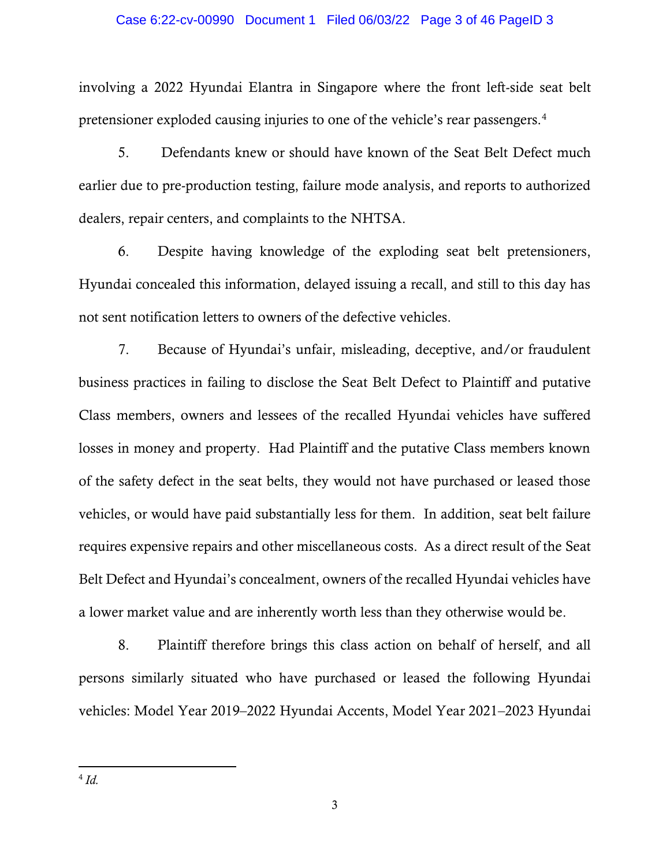### Case 6:22-cv-00990 Document 1 Filed 06/03/22 Page 3 of 46 PageID 3

involving a 2022 Hyundai Elantra in Singapore where the front left-side seat belt pretensioner exploded causing injuries to one of the vehicle's rear passengers.<sup>4</sup>

5. Defendants knew or should have known of the Seat Belt Defect much earlier due to pre-production testing, failure mode analysis, and reports to authorized dealers, repair centers, and complaints to the NHTSA.

6. Despite having knowledge of the exploding seat belt pretensioners, Hyundai concealed this information, delayed issuing a recall, and still to this day has not sent notification letters to owners of the defective vehicles.

7. Because of Hyundai's unfair, misleading, deceptive, and/or fraudulent business practices in failing to disclose the Seat Belt Defect to Plaintiff and putative Class members, owners and lessees of the recalled Hyundai vehicles have suffered losses in money and property. Had Plaintiff and the putative Class members known of the safety defect in the seat belts, they would not have purchased or leased those vehicles, or would have paid substantially less for them. In addition, seat belt failure requires expensive repairs and other miscellaneous costs. As a direct result of the Seat Belt Defect and Hyundai's concealment, owners of the recalled Hyundai vehicles have a lower market value and are inherently worth less than they otherwise would be.

8. Plaintiff therefore brings this class action on behalf of herself, and all persons similarly situated who have purchased or leased the following Hyundai vehicles: Model Year 2019–2022 Hyundai Accents, Model Year 2021–2023 Hyundai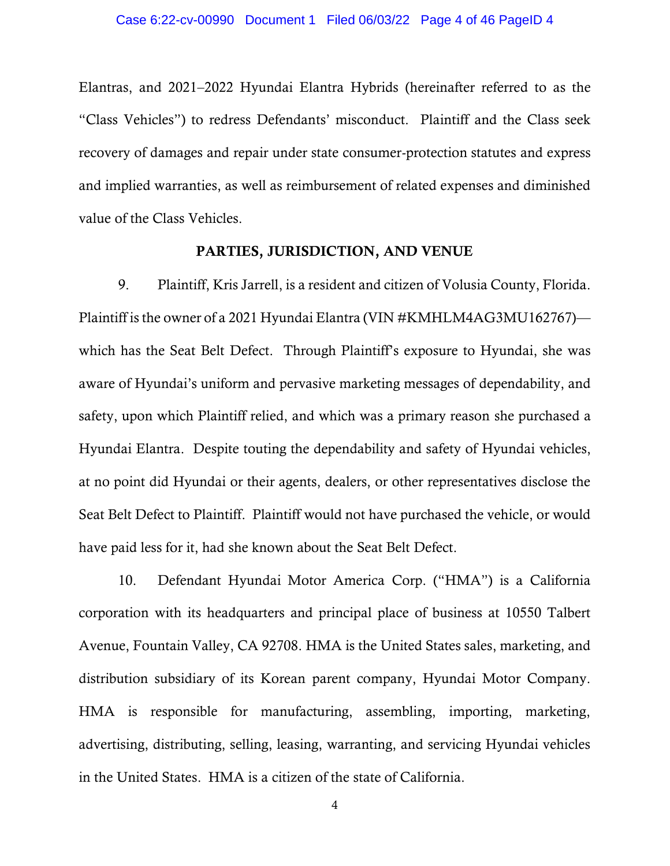Elantras, and 2021–2022 Hyundai Elantra Hybrids (hereinafter referred to as the "Class Vehicles") to redress Defendants' misconduct. Plaintiff and the Class seek recovery of damages and repair under state consumer-protection statutes and express and implied warranties, as well as reimbursement of related expenses and diminished value of the Class Vehicles.

### PARTIES, JURISDICTION, AND VENUE

9. Plaintiff, Kris Jarrell, is a resident and citizen of Volusia County, Florida. Plaintiff is the owner of a 2021 Hyundai Elantra (VIN #KMHLM4AG3MU162767) which has the Seat Belt Defect. Through Plaintiff's exposure to Hyundai, she was aware of Hyundai's uniform and pervasive marketing messages of dependability, and safety, upon which Plaintiff relied, and which was a primary reason she purchased a Hyundai Elantra. Despite touting the dependability and safety of Hyundai vehicles, at no point did Hyundai or their agents, dealers, or other representatives disclose the Seat Belt Defect to Plaintiff. Plaintiff would not have purchased the vehicle, or would have paid less for it, had she known about the Seat Belt Defect.

10. Defendant Hyundai Motor America Corp. ("HMA") is a California corporation with its headquarters and principal place of business at 10550 Talbert Avenue, Fountain Valley, CA 92708. HMA is the United States sales, marketing, and distribution subsidiary of its Korean parent company, Hyundai Motor Company. HMA is responsible for manufacturing, assembling, importing, marketing, advertising, distributing, selling, leasing, warranting, and servicing Hyundai vehicles in the United States. HMA is a citizen of the state of California.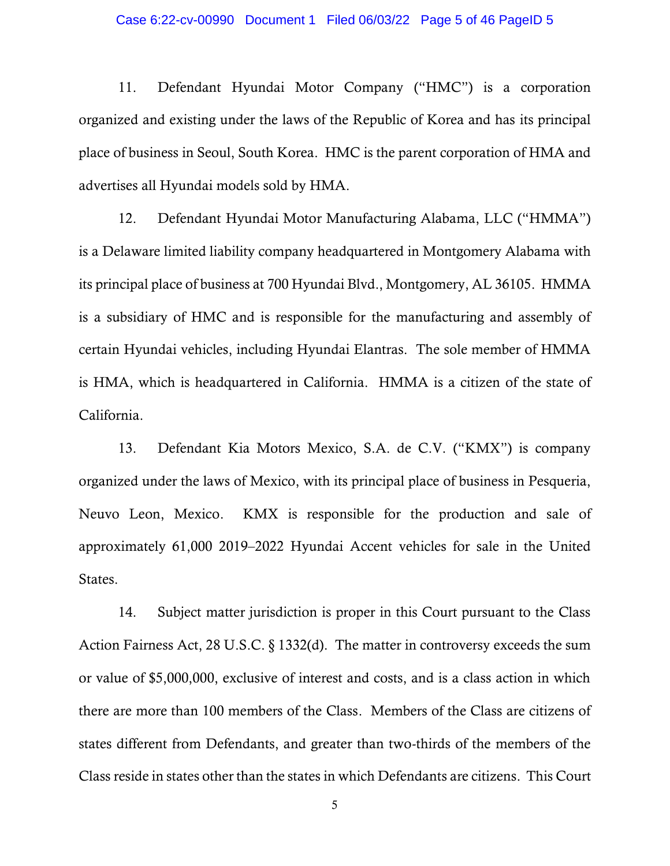### Case 6:22-cv-00990 Document 1 Filed 06/03/22 Page 5 of 46 PageID 5

11. Defendant Hyundai Motor Company ("HMC") is a corporation organized and existing under the laws of the Republic of Korea and has its principal place of business in Seoul, South Korea. HMC is the parent corporation of HMA and advertises all Hyundai models sold by HMA.

12. Defendant Hyundai Motor Manufacturing Alabama, LLC ("HMMA") is a Delaware limited liability company headquartered in Montgomery Alabama with its principal place of business at 700 Hyundai Blvd., Montgomery, AL 36105. HMMA is a subsidiary of HMC and is responsible for the manufacturing and assembly of certain Hyundai vehicles, including Hyundai Elantras. The sole member of HMMA is HMA, which is headquartered in California. HMMA is a citizen of the state of California.

13. Defendant Kia Motors Mexico, S.A. de C.V. ("KMX") is company organized under the laws of Mexico, with its principal place of business in Pesqueria, Neuvo Leon, Mexico. KMX is responsible for the production and sale of approximately 61,000 2019–2022 Hyundai Accent vehicles for sale in the United States.

14. Subject matter jurisdiction is proper in this Court pursuant to the Class Action Fairness Act, 28 U.S.C. § 1332(d). The matter in controversy exceeds the sum or value of \$5,000,000, exclusive of interest and costs, and is a class action in which there are more than 100 members of the Class. Members of the Class are citizens of states different from Defendants, and greater than two-thirds of the members of the Class reside in states other than the states in which Defendants are citizens. This Court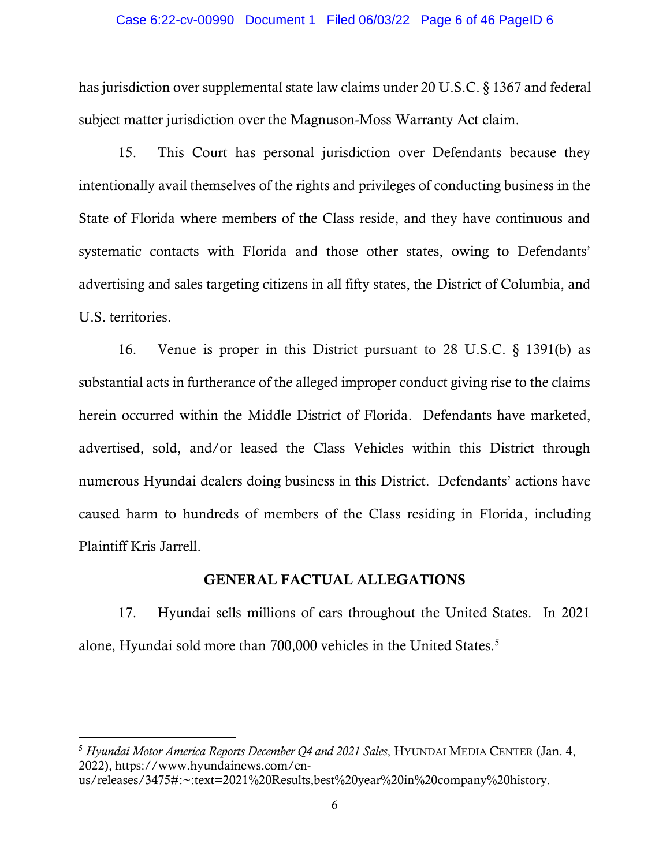#### Case 6:22-cv-00990 Document 1 Filed 06/03/22 Page 6 of 46 PageID 6

has jurisdiction over supplemental state law claims under 20 U.S.C. § 1367 and federal subject matter jurisdiction over the Magnuson-Moss Warranty Act claim.

15. This Court has personal jurisdiction over Defendants because they intentionally avail themselves of the rights and privileges of conducting business in the State of Florida where members of the Class reside, and they have continuous and systematic contacts with Florida and those other states, owing to Defendants' advertising and sales targeting citizens in all fifty states, the District of Columbia, and U.S. territories.

16. Venue is proper in this District pursuant to 28 U.S.C. § 1391(b) as substantial acts in furtherance of the alleged improper conduct giving rise to the claims herein occurred within the Middle District of Florida. Defendants have marketed, advertised, sold, and/or leased the Class Vehicles within this District through numerous Hyundai dealers doing business in this District. Defendants' actions have caused harm to hundreds of members of the Class residing in Florida, including Plaintiff Kris Jarrell.

### GENERAL FACTUAL ALLEGATIONS

17. Hyundai sells millions of cars throughout the United States. In 2021 alone, Hyundai sold more than 700,000 vehicles in the United States.<sup>5</sup>

<sup>5</sup> *Hyundai Motor America Reports December Q4 and 2021 Sales*, HYUNDAI MEDIA CENTER (Jan. 4, 2022), https://www.hyundainews.com/en-

us/releases/3475#:~:text=2021%20Results,best%20year%20in%20company%20history.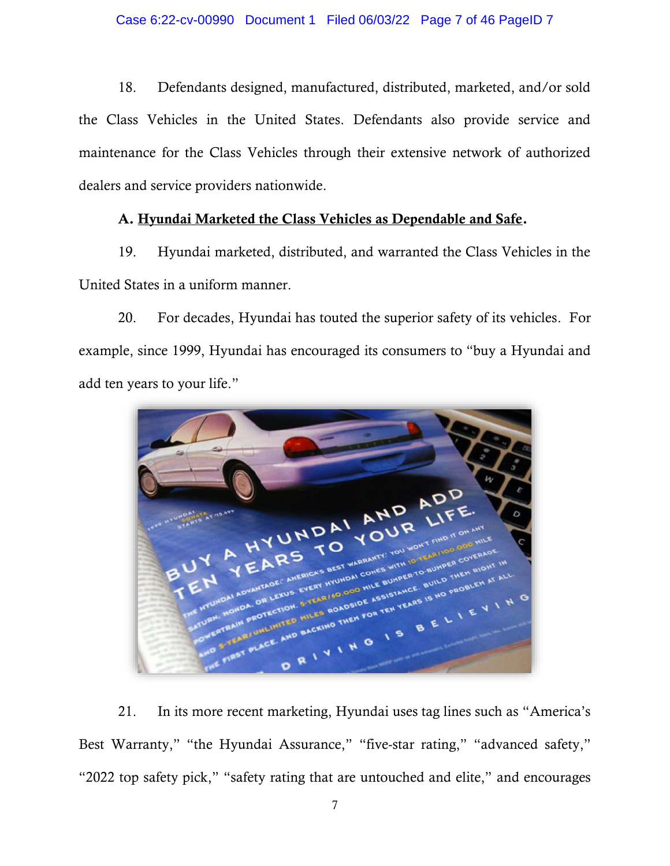18. Defendants designed, manufactured, distributed, marketed, and/or sold the Class Vehicles in the United States. Defendants also provide service and maintenance for the Class Vehicles through their extensive network of authorized dealers and service providers nationwide.

# A. Hyundai Marketed the Class Vehicles as Dependable and Safe.

19. Hyundai marketed, distributed, and warranted the Class Vehicles in the United States in a uniform manner.

20. For decades, Hyundai has touted the superior safety of its vehicles. For example, since 1999, Hyundai has encouraged its consumers to "buy a Hyundai and add ten years to your life."



21. In its more recent marketing, Hyundai uses tag lines such as "America's Best Warranty," "the Hyundai Assurance," "five-star rating," "advanced safety," "2022 top safety pick," "safety rating that are untouched and elite," and encourages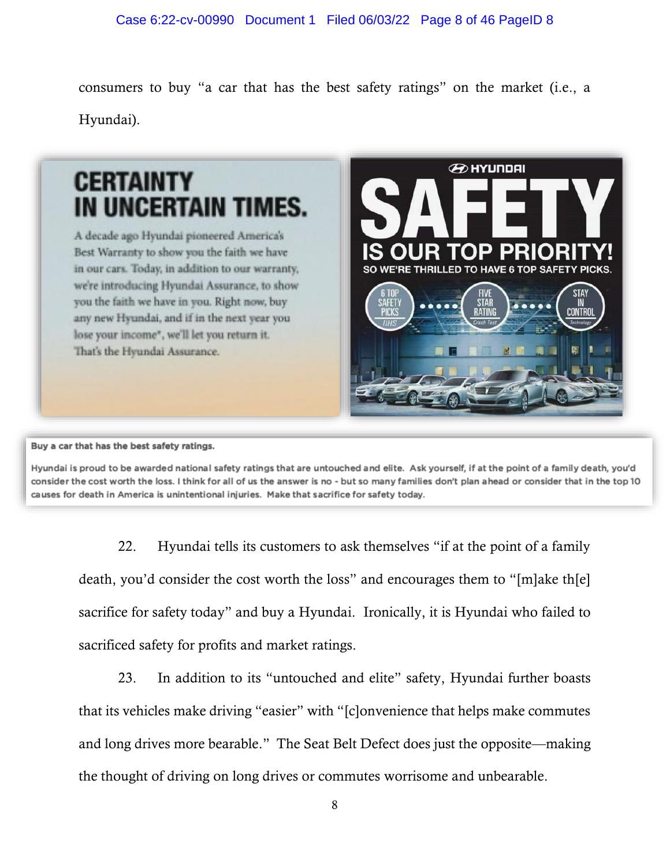consumers to buy "a car that has the best safety ratings" on the market (i.e., a Hyundai).



Buy a car that has the best safety ratings.

Hyundai is proud to be awarded national safety ratings that are untouched and elite. Ask yourself, if at the point of a family death, you'd consider the cost worth the loss. I think for all of us the answer is no - but so many families don't plan ahead or consider that in the top 10 causes for death in America is unintentional injuries. Make that sacrifice for safety today.

22. Hyundai tells its customers to ask themselves "if at the point of a family death, you'd consider the cost worth the loss" and encourages them to "[m]ake th[e] sacrifice for safety today" and buy a Hyundai. Ironically, it is Hyundai who failed to sacrificed safety for profits and market ratings.

23. In addition to its "untouched and elite" safety, Hyundai further boasts that its vehicles make driving "easier" with "[c]onvenience that helps make commutes and long drives more bearable." The Seat Belt Defect does just the opposite—making the thought of driving on long drives or commutes worrisome and unbearable.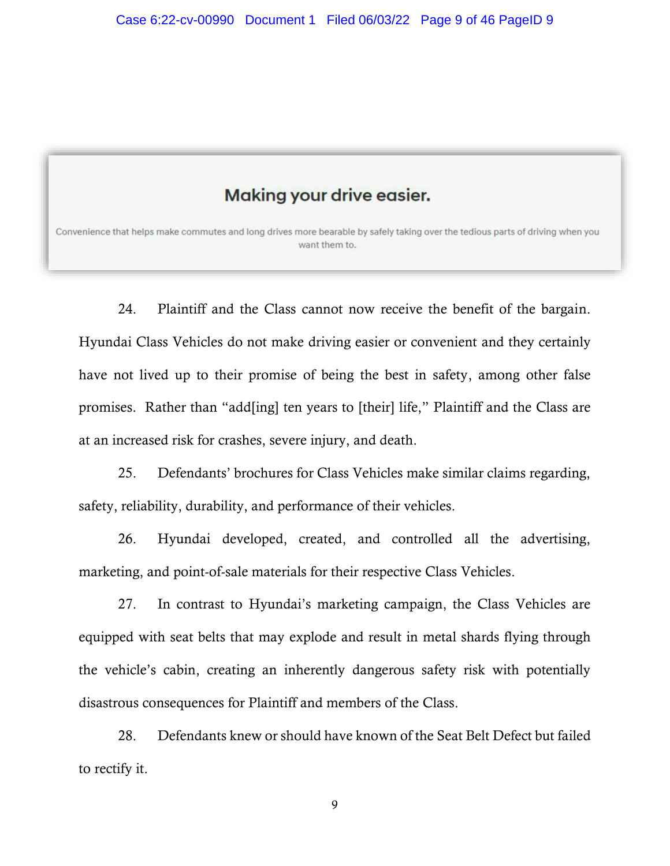# **Making your drive easier.**

Convenience that helps make commutes and long drives more bearable by safely taking over the tedious parts of driving when you want them to.

24. Plaintiff and the Class cannot now receive the benefit of the bargain. Hyundai Class Vehicles do not make driving easier or convenient and they certainly have not lived up to their promise of being the best in safety, among other false promises. Rather than "add[ing] ten years to [their] life," Plaintiff and the Class are at an increased risk for crashes, severe injury, and death.

25. Defendants' brochures for Class Vehicles make similar claims regarding, safety, reliability, durability, and performance of their vehicles.

26. Hyundai developed, created, and controlled all the advertising, marketing, and point-of-sale materials for their respective Class Vehicles.

27. In contrast to Hyundai's marketing campaign, the Class Vehicles are equipped with seat belts that may explode and result in metal shards flying through the vehicle's cabin, creating an inherently dangerous safety risk with potentially disastrous consequences for Plaintiff and members of the Class.

28. Defendants knew or should have known of the Seat Belt Defect but failed to rectify it.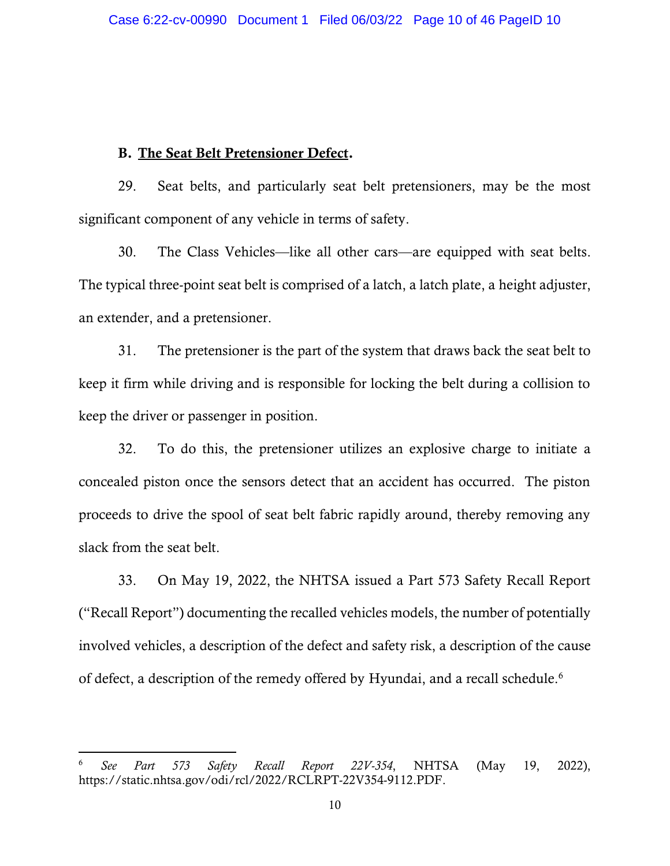### B. The Seat Belt Pretensioner Defect.

29. Seat belts, and particularly seat belt pretensioners, may be the most significant component of any vehicle in terms of safety.

30. The Class Vehicles—like all other cars—are equipped with seat belts. The typical three-point seat belt is comprised of a latch, a latch plate, a height adjuster, an extender, and a pretensioner.

31. The pretensioner is the part of the system that draws back the seat belt to keep it firm while driving and is responsible for locking the belt during a collision to keep the driver or passenger in position.

32. To do this, the pretensioner utilizes an explosive charge to initiate a concealed piston once the sensors detect that an accident has occurred. The piston proceeds to drive the spool of seat belt fabric rapidly around, thereby removing any slack from the seat belt.

33. On May 19, 2022, the NHTSA issued a Part 573 Safety Recall Report ("Recall Report") documenting the recalled vehicles models, the number of potentially involved vehicles, a description of the defect and safety risk, a description of the cause of defect, a description of the remedy offered by Hyundai, and a recall schedule.<sup>6</sup>

<sup>6</sup> *See Part 573 Safety Recall Report 22V-354*, NHTSA (May 19, 2022), https://static.nhtsa.gov/odi/rcl/2022/RCLRPT-22V354-9112.PDF.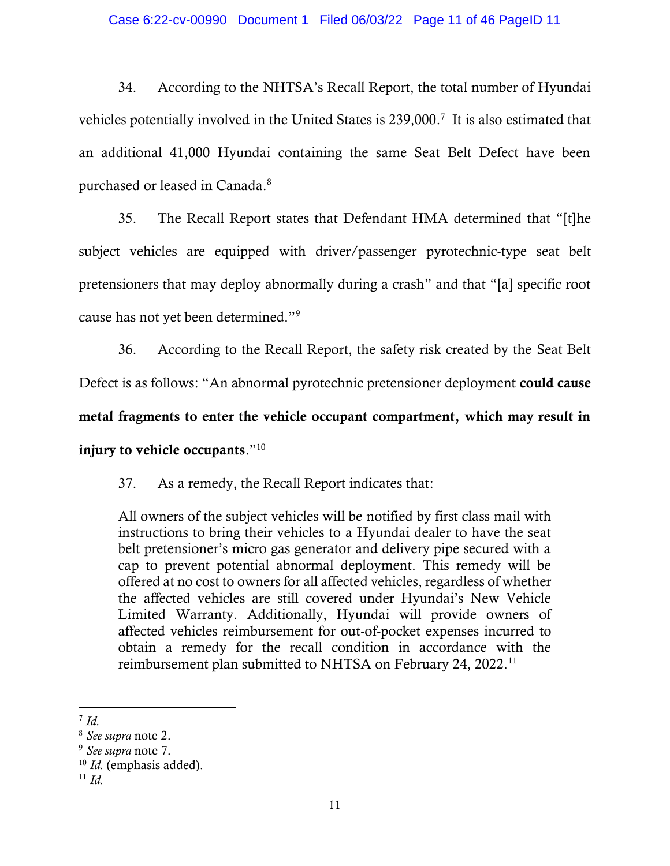34. According to the NHTSA's Recall Report, the total number of Hyundai vehicles potentially involved in the United States is 239,000. 7 It is also estimated that an additional 41,000 Hyundai containing the same Seat Belt Defect have been purchased or leased in Canada.<sup>8</sup>

35. The Recall Report states that Defendant HMA determined that "[t]he subject vehicles are equipped with driver/passenger pyrotechnic-type seat belt pretensioners that may deploy abnormally during a crash" and that "[a] specific root cause has not yet been determined."<sup>9</sup>

36. According to the Recall Report, the safety risk created by the Seat Belt Defect is as follows: "An abnormal pyrotechnic pretensioner deployment could cause

metal fragments to enter the vehicle occupant compartment, which may result in injury to vehicle occupants." $^{10}$ 

37. As a remedy, the Recall Report indicates that:

All owners of the subject vehicles will be notified by first class mail with instructions to bring their vehicles to a Hyundai dealer to have the seat belt pretensioner's micro gas generator and delivery pipe secured with a cap to prevent potential abnormal deployment. This remedy will be offered at no cost to owners for all affected vehicles, regardless of whether the affected vehicles are still covered under Hyundai's New Vehicle Limited Warranty. Additionally, Hyundai will provide owners of affected vehicles reimbursement for out-of-pocket expenses incurred to obtain a remedy for the recall condition in accordance with the reimbursement plan submitted to NHTSA on February 24, 2022.<sup>11</sup>

<sup>7</sup> *Id.*

<sup>8</sup> *See supra* note 2.

<sup>9</sup> *See supra* note 7.

<sup>10</sup> *Id.* (emphasis added).

 $11$  *Id.*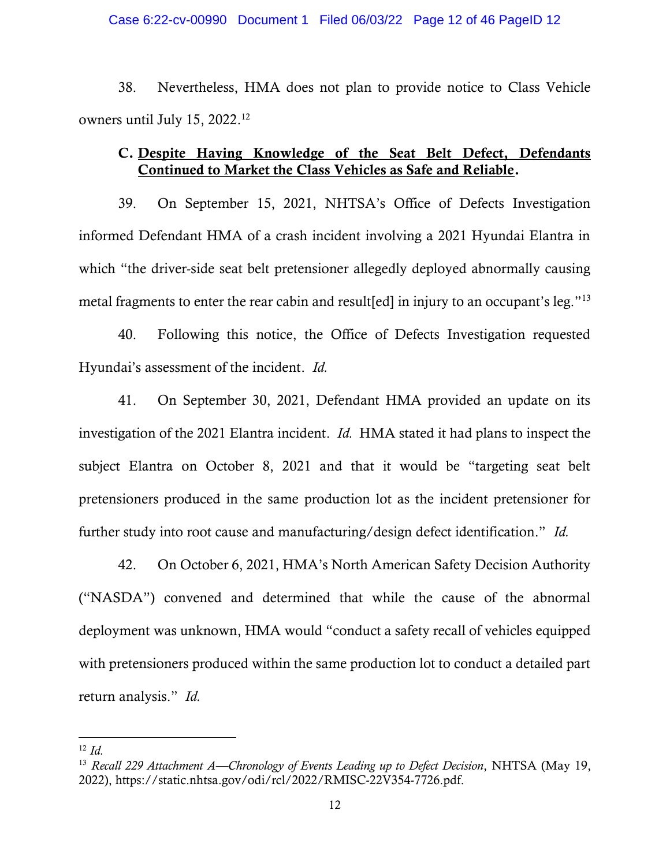#### Case 6:22-cv-00990 Document 1 Filed 06/03/22 Page 12 of 46 PageID 12

38. Nevertheless, HMA does not plan to provide notice to Class Vehicle owners until July 15, 2022. 12

# C. Despite Having Knowledge of the Seat Belt Defect, Defendants Continued to Market the Class Vehicles as Safe and Reliable.

39. On September 15, 2021, NHTSA's Office of Defects Investigation informed Defendant HMA of a crash incident involving a 2021 Hyundai Elantra in which "the driver-side seat belt pretensioner allegedly deployed abnormally causing metal fragments to enter the rear cabin and result[ed] in injury to an occupant's leg."<sup>13</sup>

40. Following this notice, the Office of Defects Investigation requested Hyundai's assessment of the incident. *Id.*

41. On September 30, 2021, Defendant HMA provided an update on its investigation of the 2021 Elantra incident. *Id.* HMA stated it had plans to inspect the subject Elantra on October 8, 2021 and that it would be "targeting seat belt pretensioners produced in the same production lot as the incident pretensioner for further study into root cause and manufacturing/design defect identification." *Id.*

42. On October 6, 2021, HMA's North American Safety Decision Authority ("NASDA") convened and determined that while the cause of the abnormal deployment was unknown, HMA would "conduct a safety recall of vehicles equipped with pretensioners produced within the same production lot to conduct a detailed part return analysis." *Id.* 

<sup>12</sup> *Id.*

<sup>13</sup> *Recall 229 Attachment A—Chronology of Events Leading up to Defect Decision*, NHTSA (May 19, 2022), https://static.nhtsa.gov/odi/rcl/2022/RMISC-22V354-7726.pdf.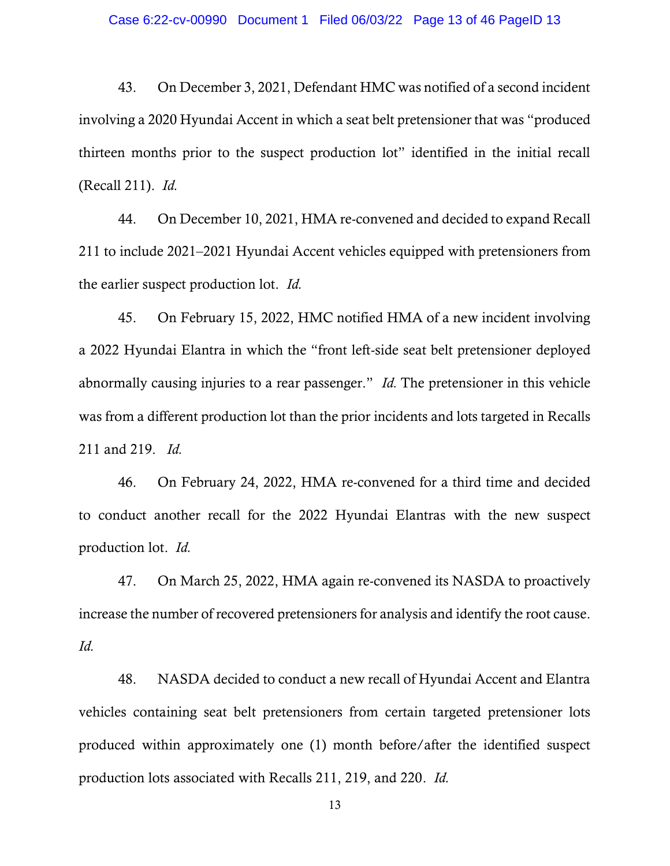43. On December 3, 2021, Defendant HMC was notified of a second incident involving a 2020 Hyundai Accent in which a seat belt pretensioner that was "produced thirteen months prior to the suspect production lot" identified in the initial recall (Recall 211). *Id.*

44. On December 10, 2021, HMA re-convened and decided to expand Recall 211 to include 2021–2021 Hyundai Accent vehicles equipped with pretensioners from the earlier suspect production lot. *Id.* 

45. On February 15, 2022, HMC notified HMA of a new incident involving a 2022 Hyundai Elantra in which the "front left-side seat belt pretensioner deployed abnormally causing injuries to a rear passenger." *Id.* The pretensioner in this vehicle was from a different production lot than the prior incidents and lots targeted in Recalls 211 and 219. *Id.* 

46. On February 24, 2022, HMA re-convened for a third time and decided to conduct another recall for the 2022 Hyundai Elantras with the new suspect production lot. *Id.*

47. On March 25, 2022, HMA again re-convened its NASDA to proactively increase the number of recovered pretensioners for analysis and identify the root cause. *Id.*

48. NASDA decided to conduct a new recall of Hyundai Accent and Elantra vehicles containing seat belt pretensioners from certain targeted pretensioner lots produced within approximately one (1) month before/after the identified suspect production lots associated with Recalls 211, 219, and 220. *Id.*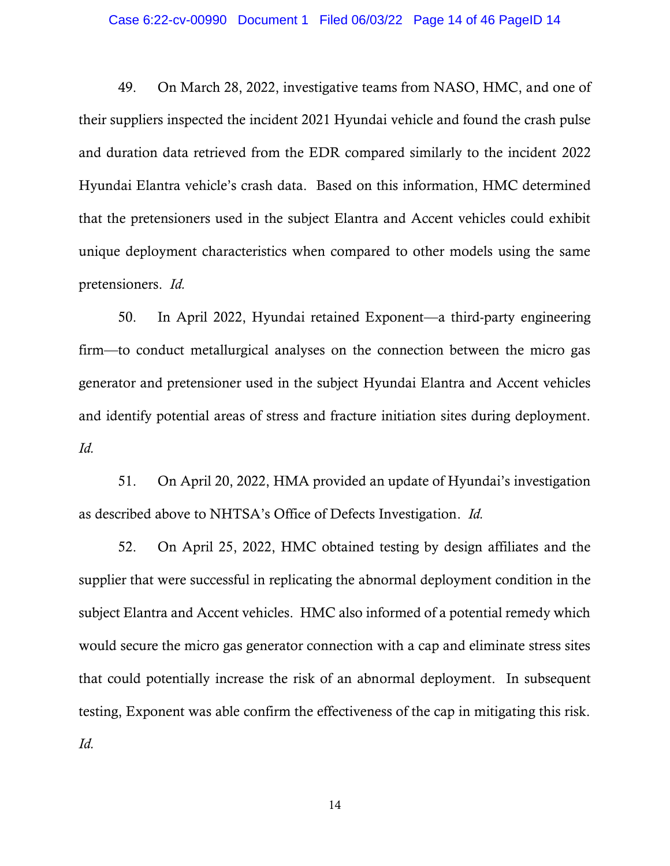#### Case 6:22-cv-00990 Document 1 Filed 06/03/22 Page 14 of 46 PageID 14

49. On March 28, 2022, investigative teams from NASO, HMC, and one of their suppliers inspected the incident 2021 Hyundai vehicle and found the crash pulse and duration data retrieved from the EDR compared similarly to the incident 2022 Hyundai Elantra vehicle's crash data. Based on this information, HMC determined that the pretensioners used in the subject Elantra and Accent vehicles could exhibit unique deployment characteristics when compared to other models using the same pretensioners. *Id.*

50. In April 2022, Hyundai retained Exponent—a third-party engineering firm—to conduct metallurgical analyses on the connection between the micro gas generator and pretensioner used in the subject Hyundai Elantra and Accent vehicles and identify potential areas of stress and fracture initiation sites during deployment. *Id.*

51. On April 20, 2022, HMA provided an update of Hyundai's investigation as described above to NHTSA's Office of Defects Investigation. *Id.*

52. On April 25, 2022, HMC obtained testing by design affiliates and the supplier that were successful in replicating the abnormal deployment condition in the subject Elantra and Accent vehicles. HMC also informed of a potential remedy which would secure the micro gas generator connection with a cap and eliminate stress sites that could potentially increase the risk of an abnormal deployment. In subsequent testing, Exponent was able confirm the effectiveness of the cap in mitigating this risk. *Id.*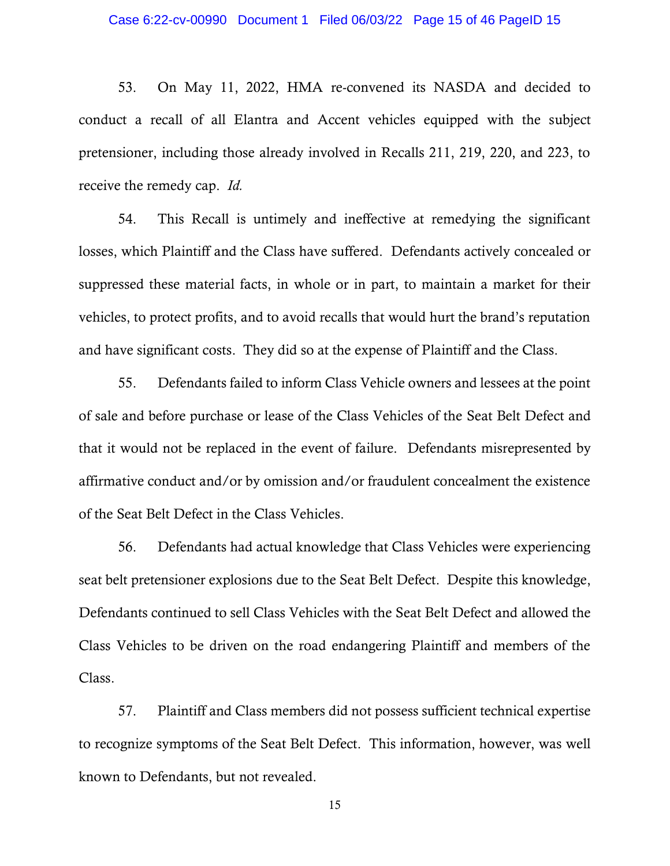53. On May 11, 2022, HMA re-convened its NASDA and decided to conduct a recall of all Elantra and Accent vehicles equipped with the subject pretensioner, including those already involved in Recalls 211, 219, 220, and 223, to receive the remedy cap. *Id.*

54. This Recall is untimely and ineffective at remedying the significant losses, which Plaintiff and the Class have suffered. Defendants actively concealed or suppressed these material facts, in whole or in part, to maintain a market for their vehicles, to protect profits, and to avoid recalls that would hurt the brand's reputation and have significant costs. They did so at the expense of Plaintiff and the Class.

55. Defendants failed to inform Class Vehicle owners and lessees at the point of sale and before purchase or lease of the Class Vehicles of the Seat Belt Defect and that it would not be replaced in the event of failure. Defendants misrepresented by affirmative conduct and/or by omission and/or fraudulent concealment the existence of the Seat Belt Defect in the Class Vehicles.

56. Defendants had actual knowledge that Class Vehicles were experiencing seat belt pretensioner explosions due to the Seat Belt Defect. Despite this knowledge, Defendants continued to sell Class Vehicles with the Seat Belt Defect and allowed the Class Vehicles to be driven on the road endangering Plaintiff and members of the Class.

57. Plaintiff and Class members did not possess sufficient technical expertise to recognize symptoms of the Seat Belt Defect. This information, however, was well known to Defendants, but not revealed.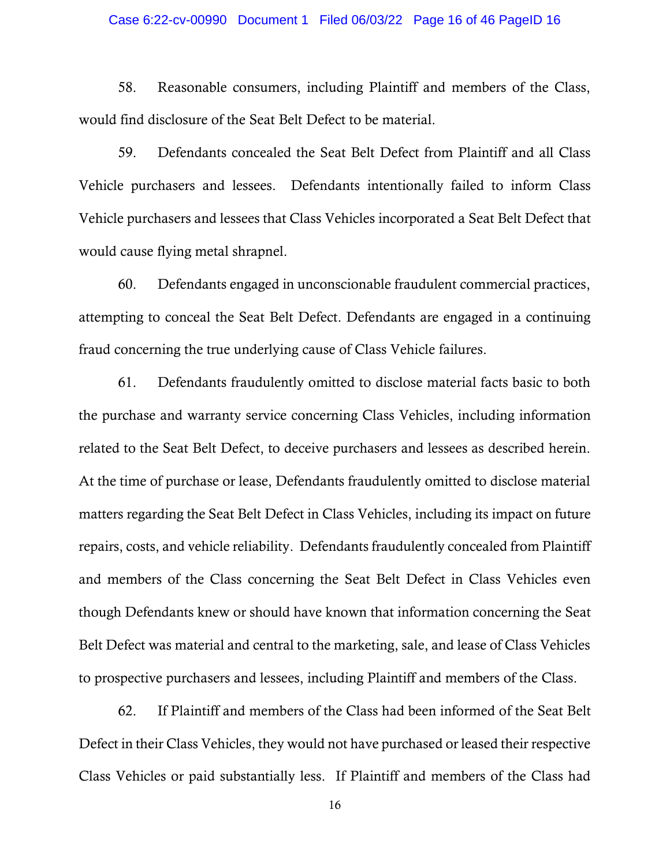### Case 6:22-cv-00990 Document 1 Filed 06/03/22 Page 16 of 46 PageID 16

58. Reasonable consumers, including Plaintiff and members of the Class, would find disclosure of the Seat Belt Defect to be material.

59. Defendants concealed the Seat Belt Defect from Plaintiff and all Class Vehicle purchasers and lessees. Defendants intentionally failed to inform Class Vehicle purchasers and lessees that Class Vehicles incorporated a Seat Belt Defect that would cause flying metal shrapnel.

60. Defendants engaged in unconscionable fraudulent commercial practices, attempting to conceal the Seat Belt Defect. Defendants are engaged in a continuing fraud concerning the true underlying cause of Class Vehicle failures.

61. Defendants fraudulently omitted to disclose material facts basic to both the purchase and warranty service concerning Class Vehicles, including information related to the Seat Belt Defect, to deceive purchasers and lessees as described herein. At the time of purchase or lease, Defendants fraudulently omitted to disclose material matters regarding the Seat Belt Defect in Class Vehicles, including its impact on future repairs, costs, and vehicle reliability. Defendants fraudulently concealed from Plaintiff and members of the Class concerning the Seat Belt Defect in Class Vehicles even though Defendants knew or should have known that information concerning the Seat Belt Defect was material and central to the marketing, sale, and lease of Class Vehicles to prospective purchasers and lessees, including Plaintiff and members of the Class.

62. If Plaintiff and members of the Class had been informed of the Seat Belt Defect in their Class Vehicles, they would not have purchased or leased their respective Class Vehicles or paid substantially less. If Plaintiff and members of the Class had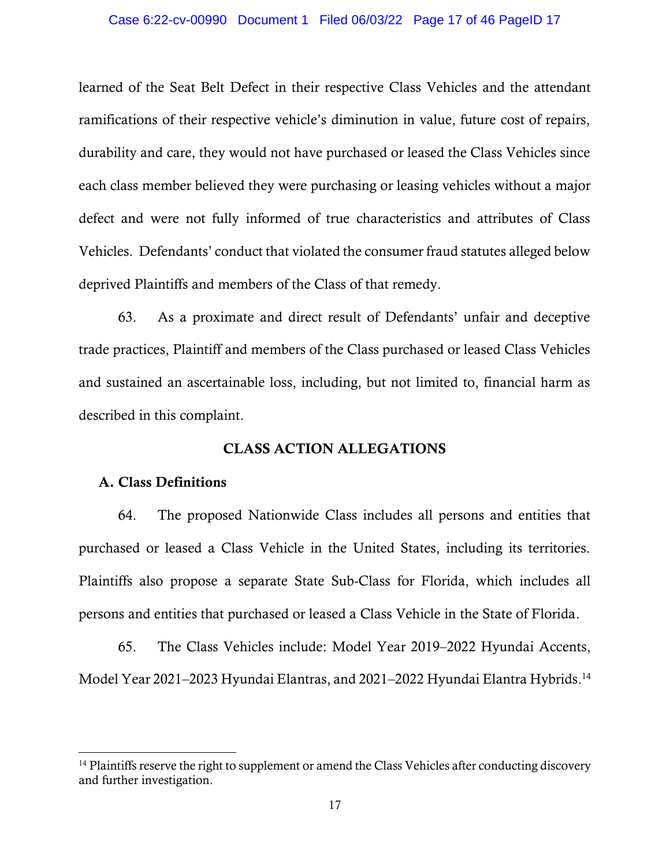#### Case 6:22-cv-00990 Document 1 Filed 06/03/22 Page 17 of 46 PageID 17

learned of the Seat Belt Defect in their respective Class Vehicles and the attendant ramifications of their respective vehicle's diminution in value, future cost of repairs, durability and care, they would not have purchased or leased the Class Vehicles since each class member believed they were purchasing or leasing vehicles without a major defect and were not fully informed of true characteristics and attributes of Class Vehicles. Defendants' conduct that violated the consumer fraud statutes alleged below deprived Plaintiffs and members of the Class of that remedy.

63. As a proximate and direct result of Defendants' unfair and deceptive trade practices, Plaintiff and members of the Class purchased or leased Class Vehicles and sustained an ascertainable loss, including, but not limited to, financial harm as described in this complaint.

### CLASS ACTION ALLEGATIONS

### A. Class Definitions

64. The proposed Nationwide Class includes all persons and entities that purchased or leased a Class Vehicle in the United States, including its territories. Plaintiffs also propose a separate State Sub-Class for Florida, which includes all persons and entities that purchased or leased a Class Vehicle in the State of Florida.

65. The Class Vehicles include: Model Year 2019–2022 Hyundai Accents, Model Year 2021–2023 Hyundai Elantras, and 2021–2022 Hyundai Elantra Hybrids. 14

<sup>&</sup>lt;sup>14</sup> Plaintiffs reserve the right to supplement or amend the Class Vehicles after conducting discovery and further investigation.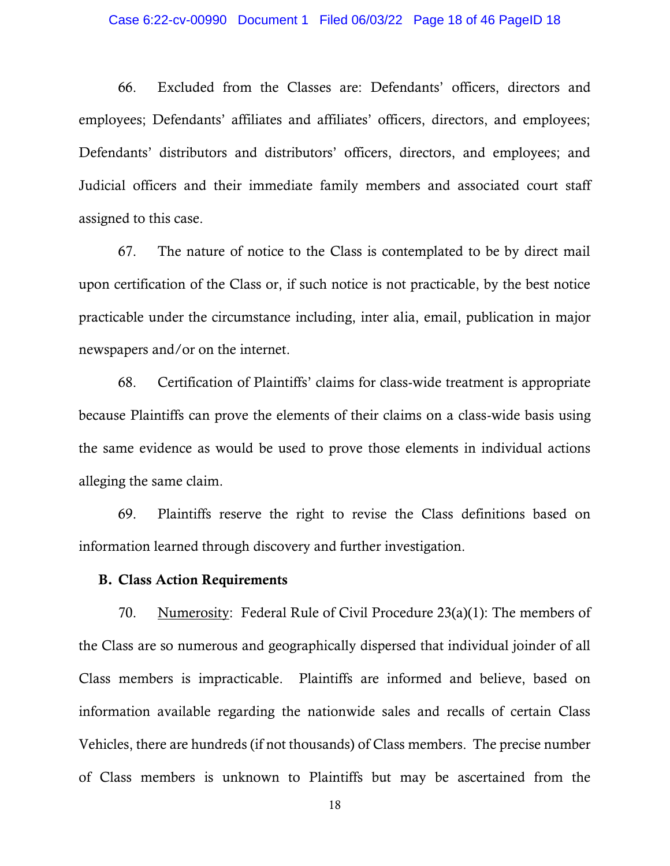#### Case 6:22-cv-00990 Document 1 Filed 06/03/22 Page 18 of 46 PageID 18

66. Excluded from the Classes are: Defendants' officers, directors and employees; Defendants' affiliates and affiliates' officers, directors, and employees; Defendants' distributors and distributors' officers, directors, and employees; and Judicial officers and their immediate family members and associated court staff assigned to this case.

67. The nature of notice to the Class is contemplated to be by direct mail upon certification of the Class or, if such notice is not practicable, by the best notice practicable under the circumstance including, inter alia, email, publication in major newspapers and/or on the internet.

68. Certification of Plaintiffs' claims for class-wide treatment is appropriate because Plaintiffs can prove the elements of their claims on a class-wide basis using the same evidence as would be used to prove those elements in individual actions alleging the same claim.

69. Plaintiffs reserve the right to revise the Class definitions based on information learned through discovery and further investigation.

### B. Class Action Requirements

70. Numerosity: Federal Rule of Civil Procedure  $23(a)(1)$ : The members of the Class are so numerous and geographically dispersed that individual joinder of all Class members is impracticable. Plaintiffs are informed and believe, based on information available regarding the nationwide sales and recalls of certain Class Vehicles, there are hundreds (if not thousands) of Class members. The precise number of Class members is unknown to Plaintiffs but may be ascertained from the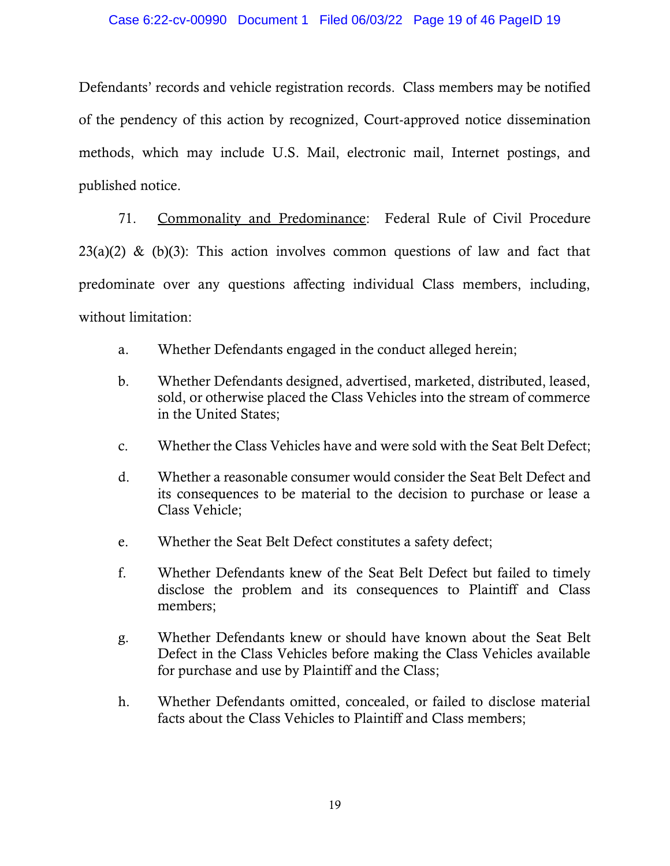### Case 6:22-cv-00990 Document 1 Filed 06/03/22 Page 19 of 46 PageID 19

Defendants' records and vehicle registration records. Class members may be notified of the pendency of this action by recognized, Court-approved notice dissemination methods, which may include U.S. Mail, electronic mail, Internet postings, and published notice.

71. Commonality and Predominance: Federal Rule of Civil Procedure  $23(a)(2)$  & (b)(3): This action involves common questions of law and fact that predominate over any questions affecting individual Class members, including, without limitation:

- a. Whether Defendants engaged in the conduct alleged herein;
- b. Whether Defendants designed, advertised, marketed, distributed, leased, sold, or otherwise placed the Class Vehicles into the stream of commerce in the United States;
- c. Whether the Class Vehicles have and were sold with the Seat Belt Defect;
- d. Whether a reasonable consumer would consider the Seat Belt Defect and its consequences to be material to the decision to purchase or lease a Class Vehicle;
- e. Whether the Seat Belt Defect constitutes a safety defect;
- f. Whether Defendants knew of the Seat Belt Defect but failed to timely disclose the problem and its consequences to Plaintiff and Class members;
- g. Whether Defendants knew or should have known about the Seat Belt Defect in the Class Vehicles before making the Class Vehicles available for purchase and use by Plaintiff and the Class;
- h. Whether Defendants omitted, concealed, or failed to disclose material facts about the Class Vehicles to Plaintiff and Class members;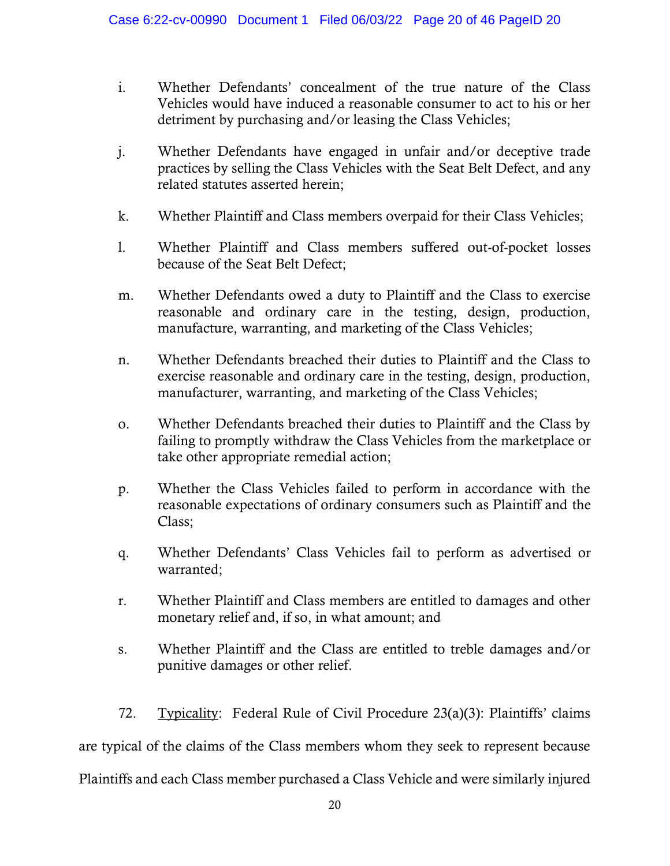- i. Whether Defendants' concealment of the true nature of the Class Vehicles would have induced a reasonable consumer to act to his or her detriment by purchasing and/or leasing the Class Vehicles;
- j. Whether Defendants have engaged in unfair and/or deceptive trade practices by selling the Class Vehicles with the Seat Belt Defect, and any related statutes asserted herein;
- k. Whether Plaintiff and Class members overpaid for their Class Vehicles;
- l. Whether Plaintiff and Class members suffered out-of-pocket losses because of the Seat Belt Defect;
- m. Whether Defendants owed a duty to Plaintiff and the Class to exercise reasonable and ordinary care in the testing, design, production, manufacture, warranting, and marketing of the Class Vehicles;
- n. Whether Defendants breached their duties to Plaintiff and the Class to exercise reasonable and ordinary care in the testing, design, production, manufacturer, warranting, and marketing of the Class Vehicles;
- o. Whether Defendants breached their duties to Plaintiff and the Class by failing to promptly withdraw the Class Vehicles from the marketplace or take other appropriate remedial action;
- p. Whether the Class Vehicles failed to perform in accordance with the reasonable expectations of ordinary consumers such as Plaintiff and the Class;
- q. Whether Defendants' Class Vehicles fail to perform as advertised or warranted;
- r. Whether Plaintiff and Class members are entitled to damages and other monetary relief and, if so, in what amount; and
- s. Whether Plaintiff and the Class are entitled to treble damages and/or punitive damages or other relief.

72. Typicality: Federal Rule of Civil Procedure 23(a)(3): Plaintiffs' claims are typical of the claims of the Class members whom they seek to represent because Plaintiffs and each Class member purchased a Class Vehicle and were similarly injured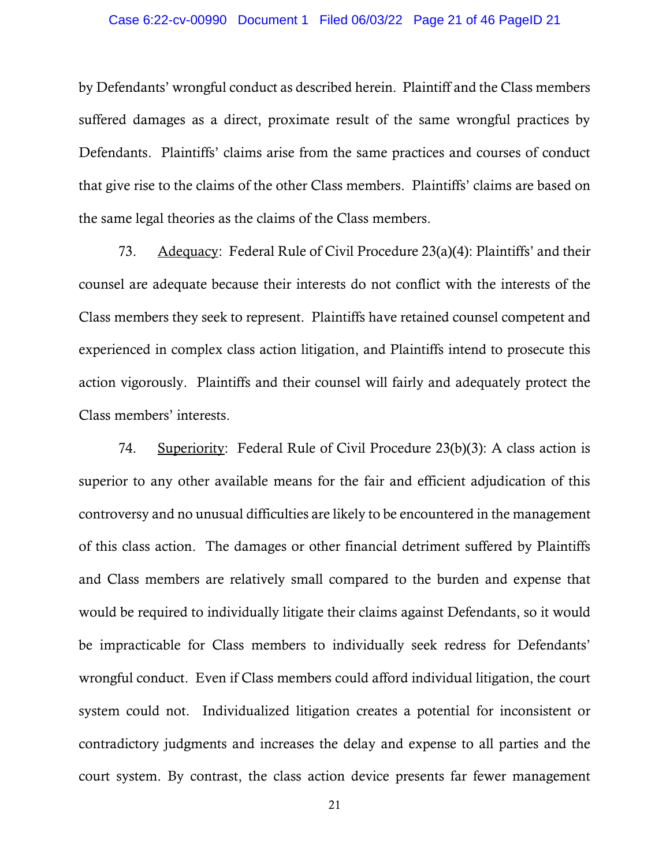#### Case 6:22-cv-00990 Document 1 Filed 06/03/22 Page 21 of 46 PageID 21

by Defendants' wrongful conduct as described herein. Plaintiff and the Class members suffered damages as a direct, proximate result of the same wrongful practices by Defendants. Plaintiffs' claims arise from the same practices and courses of conduct that give rise to the claims of the other Class members. Plaintiffs' claims are based on the same legal theories as the claims of the Class members.

73. Adequacy: Federal Rule of Civil Procedure  $23(a)(4)$ : Plaintiffs' and their counsel are adequate because their interests do not conflict with the interests of the Class members they seek to represent. Plaintiffs have retained counsel competent and experienced in complex class action litigation, and Plaintiffs intend to prosecute this action vigorously. Plaintiffs and their counsel will fairly and adequately protect the Class members' interests.

74. Superiority: Federal Rule of Civil Procedure 23(b)(3): A class action is superior to any other available means for the fair and efficient adjudication of this controversy and no unusual difficulties are likely to be encountered in the management of this class action. The damages or other financial detriment suffered by Plaintiffs and Class members are relatively small compared to the burden and expense that would be required to individually litigate their claims against Defendants, so it would be impracticable for Class members to individually seek redress for Defendants' wrongful conduct. Even if Class members could afford individual litigation, the court system could not. Individualized litigation creates a potential for inconsistent or contradictory judgments and increases the delay and expense to all parties and the court system. By contrast, the class action device presents far fewer management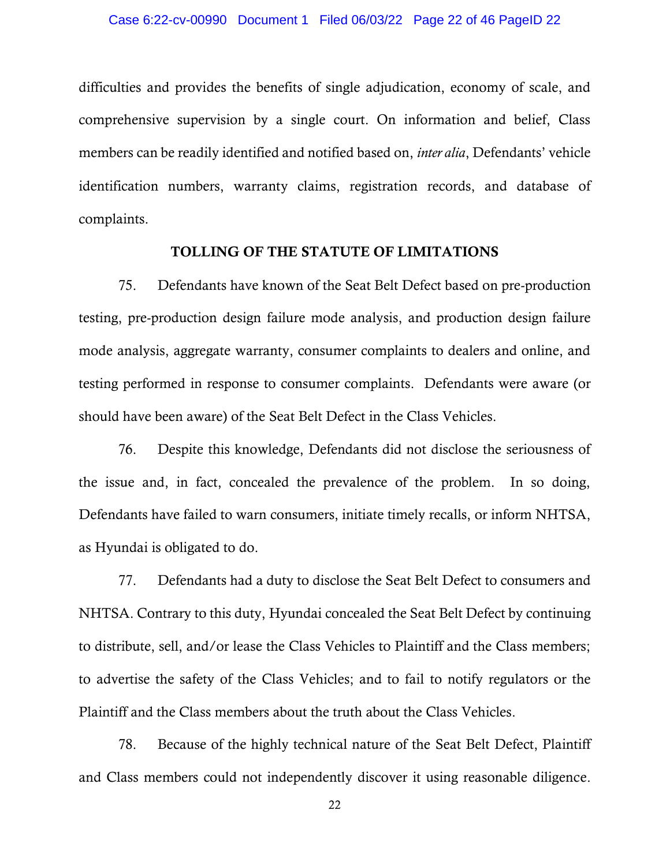difficulties and provides the benefits of single adjudication, economy of scale, and comprehensive supervision by a single court. On information and belief, Class members can be readily identified and notified based on, *inter alia*, Defendants' vehicle identification numbers, warranty claims, registration records, and database of complaints.

### TOLLING OF THE STATUTE OF LIMITATIONS

75. Defendants have known of the Seat Belt Defect based on pre-production testing, pre-production design failure mode analysis, and production design failure mode analysis, aggregate warranty, consumer complaints to dealers and online, and testing performed in response to consumer complaints. Defendants were aware (or should have been aware) of the Seat Belt Defect in the Class Vehicles.

76. Despite this knowledge, Defendants did not disclose the seriousness of the issue and, in fact, concealed the prevalence of the problem. In so doing, Defendants have failed to warn consumers, initiate timely recalls, or inform NHTSA, as Hyundai is obligated to do.

77. Defendants had a duty to disclose the Seat Belt Defect to consumers and NHTSA. Contrary to this duty, Hyundai concealed the Seat Belt Defect by continuing to distribute, sell, and/or lease the Class Vehicles to Plaintiff and the Class members; to advertise the safety of the Class Vehicles; and to fail to notify regulators or the Plaintiff and the Class members about the truth about the Class Vehicles.

78. Because of the highly technical nature of the Seat Belt Defect, Plaintiff and Class members could not independently discover it using reasonable diligence.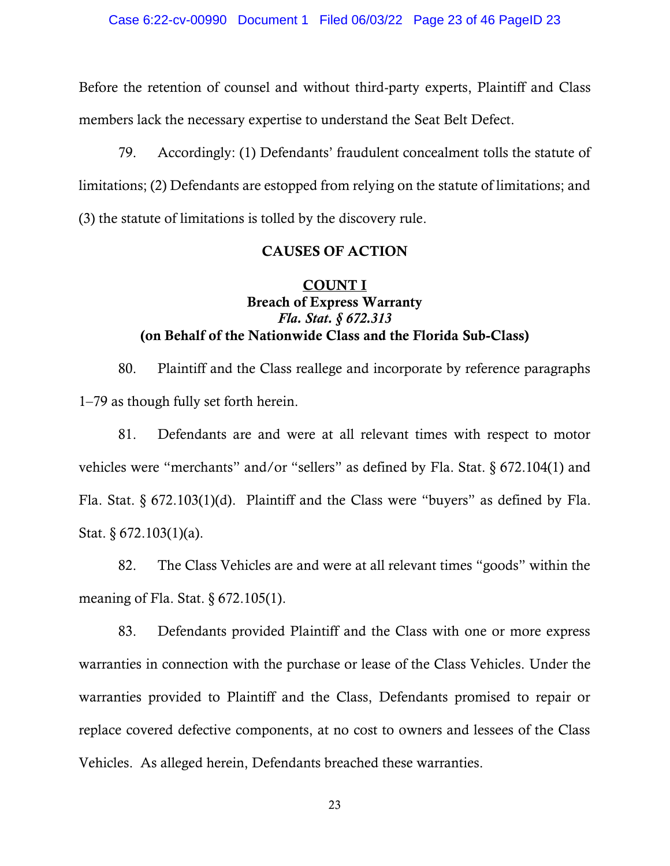Before the retention of counsel and without third-party experts, Plaintiff and Class members lack the necessary expertise to understand the Seat Belt Defect.

79. Accordingly: (1) Defendants' fraudulent concealment tolls the statute of limitations; (2) Defendants are estopped from relying on the statute of limitations; and (3) the statute of limitations is tolled by the discovery rule.

### CAUSES OF ACTION

# COUNT I Breach of Express Warranty *Fla. Stat. § 672.313* (on Behalf of the Nationwide Class and the Florida Sub-Class)

80. Plaintiff and the Class reallege and incorporate by reference paragraphs 1–79 as though fully set forth herein.

81. Defendants are and were at all relevant times with respect to motor vehicles were "merchants" and/or "sellers" as defined by Fla. Stat. § 672.104(1) and Fla. Stat. § 672.103(1)(d). Plaintiff and the Class were "buyers" as defined by Fla. Stat. § 672.103(1)(a).

82. The Class Vehicles are and were at all relevant times "goods" within the meaning of Fla. Stat. § 672.105(1).

83. Defendants provided Plaintiff and the Class with one or more express warranties in connection with the purchase or lease of the Class Vehicles. Under the warranties provided to Plaintiff and the Class, Defendants promised to repair or replace covered defective components, at no cost to owners and lessees of the Class Vehicles. As alleged herein, Defendants breached these warranties.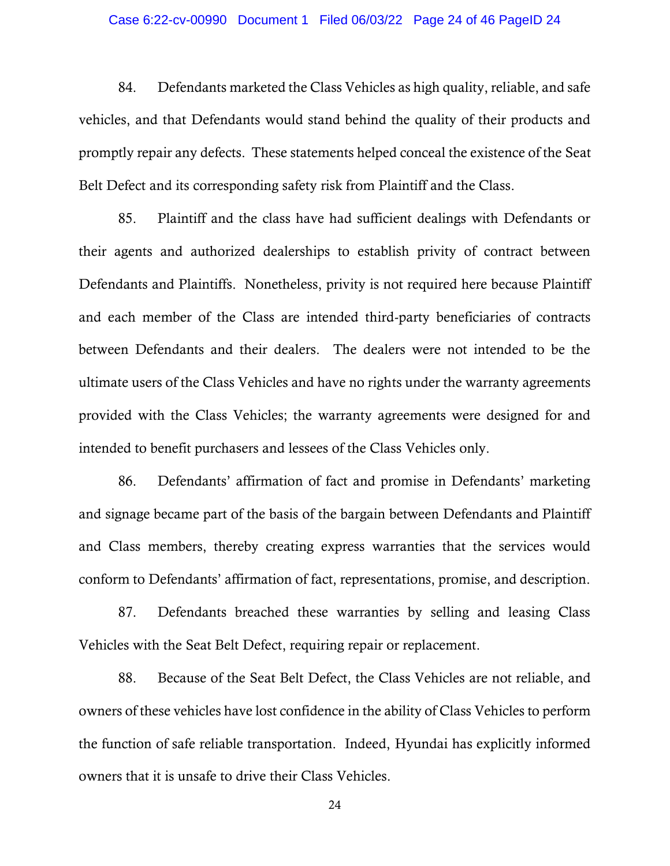#### Case 6:22-cv-00990 Document 1 Filed 06/03/22 Page 24 of 46 PageID 24

84. Defendants marketed the Class Vehicles as high quality, reliable, and safe vehicles, and that Defendants would stand behind the quality of their products and promptly repair any defects. These statements helped conceal the existence of the Seat Belt Defect and its corresponding safety risk from Plaintiff and the Class.

85. Plaintiff and the class have had sufficient dealings with Defendants or their agents and authorized dealerships to establish privity of contract between Defendants and Plaintiffs. Nonetheless, privity is not required here because Plaintiff and each member of the Class are intended third-party beneficiaries of contracts between Defendants and their dealers. The dealers were not intended to be the ultimate users of the Class Vehicles and have no rights under the warranty agreements provided with the Class Vehicles; the warranty agreements were designed for and intended to benefit purchasers and lessees of the Class Vehicles only.

86. Defendants' affirmation of fact and promise in Defendants' marketing and signage became part of the basis of the bargain between Defendants and Plaintiff and Class members, thereby creating express warranties that the services would conform to Defendants' affirmation of fact, representations, promise, and description.

87. Defendants breached these warranties by selling and leasing Class Vehicles with the Seat Belt Defect, requiring repair or replacement.

88. Because of the Seat Belt Defect, the Class Vehicles are not reliable, and owners of these vehicles have lost confidence in the ability of Class Vehicles to perform the function of safe reliable transportation. Indeed, Hyundai has explicitly informed owners that it is unsafe to drive their Class Vehicles.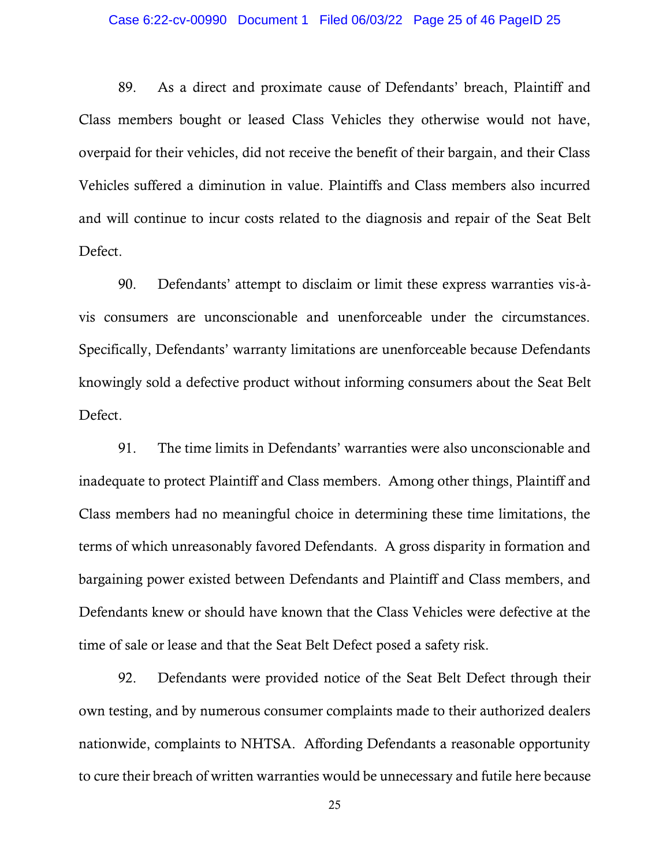### Case 6:22-cv-00990 Document 1 Filed 06/03/22 Page 25 of 46 PageID 25

89. As a direct and proximate cause of Defendants' breach, Plaintiff and Class members bought or leased Class Vehicles they otherwise would not have, overpaid for their vehicles, did not receive the benefit of their bargain, and their Class Vehicles suffered a diminution in value. Plaintiffs and Class members also incurred and will continue to incur costs related to the diagnosis and repair of the Seat Belt Defect.

90. Defendants' attempt to disclaim or limit these express warranties vis-àvis consumers are unconscionable and unenforceable under the circumstances. Specifically, Defendants' warranty limitations are unenforceable because Defendants knowingly sold a defective product without informing consumers about the Seat Belt Defect.

91. The time limits in Defendants' warranties were also unconscionable and inadequate to protect Plaintiff and Class members. Among other things, Plaintiff and Class members had no meaningful choice in determining these time limitations, the terms of which unreasonably favored Defendants. A gross disparity in formation and bargaining power existed between Defendants and Plaintiff and Class members, and Defendants knew or should have known that the Class Vehicles were defective at the time of sale or lease and that the Seat Belt Defect posed a safety risk.

92. Defendants were provided notice of the Seat Belt Defect through their own testing, and by numerous consumer complaints made to their authorized dealers nationwide, complaints to NHTSA. Affording Defendants a reasonable opportunity to cure their breach of written warranties would be unnecessary and futile here because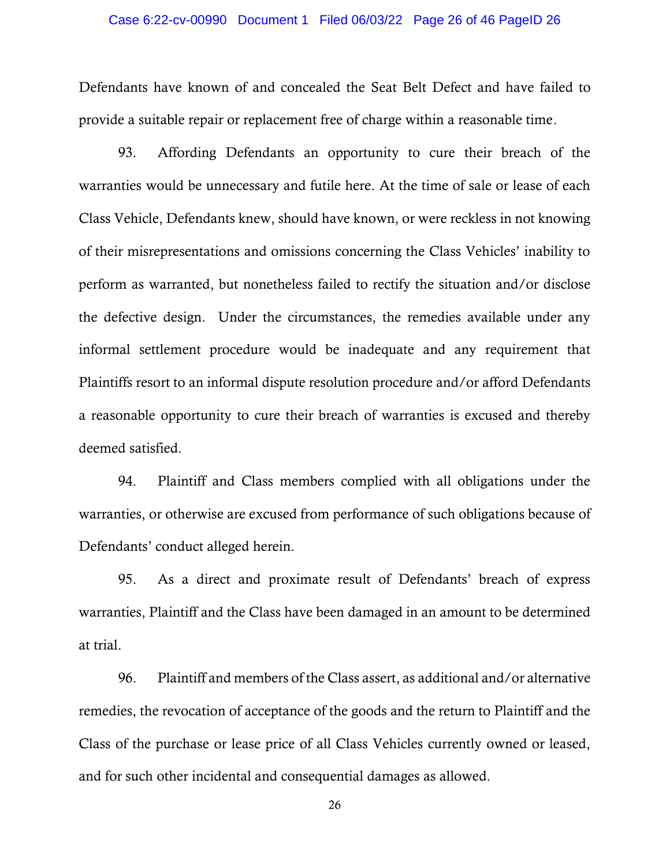### Case 6:22-cv-00990 Document 1 Filed 06/03/22 Page 26 of 46 PageID 26

Defendants have known of and concealed the Seat Belt Defect and have failed to provide a suitable repair or replacement free of charge within a reasonable time.

93. Affording Defendants an opportunity to cure their breach of the warranties would be unnecessary and futile here. At the time of sale or lease of each Class Vehicle, Defendants knew, should have known, or were reckless in not knowing of their misrepresentations and omissions concerning the Class Vehicles' inability to perform as warranted, but nonetheless failed to rectify the situation and/or disclose the defective design. Under the circumstances, the remedies available under any informal settlement procedure would be inadequate and any requirement that Plaintiffs resort to an informal dispute resolution procedure and/or afford Defendants a reasonable opportunity to cure their breach of warranties is excused and thereby deemed satisfied.

94. Plaintiff and Class members complied with all obligations under the warranties, or otherwise are excused from performance of such obligations because of Defendants' conduct alleged herein.

95. As a direct and proximate result of Defendants' breach of express warranties, Plaintiff and the Class have been damaged in an amount to be determined at trial.

96. Plaintiff and members of the Class assert, as additional and/or alternative remedies, the revocation of acceptance of the goods and the return to Plaintiff and the Class of the purchase or lease price of all Class Vehicles currently owned or leased, and for such other incidental and consequential damages as allowed.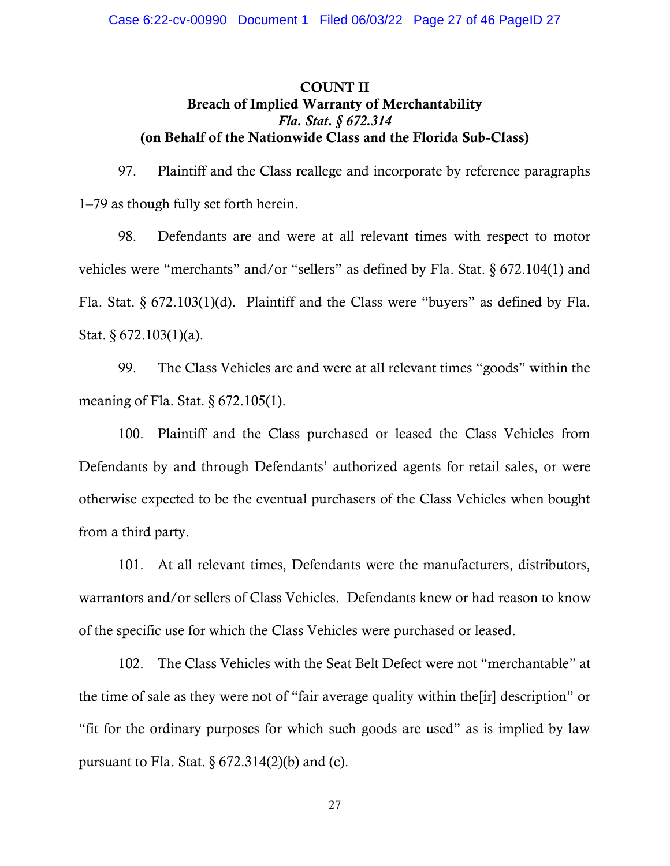# COUNT II Breach of Implied Warranty of Merchantability *Fla. Stat. § 672.314* (on Behalf of the Nationwide Class and the Florida Sub-Class)

97. Plaintiff and the Class reallege and incorporate by reference paragraphs 1–79 as though fully set forth herein.

98. Defendants are and were at all relevant times with respect to motor vehicles were "merchants" and/or "sellers" as defined by Fla. Stat. § 672.104(1) and Fla. Stat. § 672.103(1)(d). Plaintiff and the Class were "buyers" as defined by Fla. Stat. § 672.103(1)(a).

99. The Class Vehicles are and were at all relevant times "goods" within the meaning of Fla. Stat. § 672.105(1).

100. Plaintiff and the Class purchased or leased the Class Vehicles from Defendants by and through Defendants' authorized agents for retail sales, or were otherwise expected to be the eventual purchasers of the Class Vehicles when bought from a third party.

101. At all relevant times, Defendants were the manufacturers, distributors, warrantors and/or sellers of Class Vehicles. Defendants knew or had reason to know of the specific use for which the Class Vehicles were purchased or leased.

102. The Class Vehicles with the Seat Belt Defect were not "merchantable" at the time of sale as they were not of "fair average quality within the[ir] description" or "fit for the ordinary purposes for which such goods are used" as is implied by law pursuant to Fla. Stat.  $\S 672.314(2)(b)$  and (c).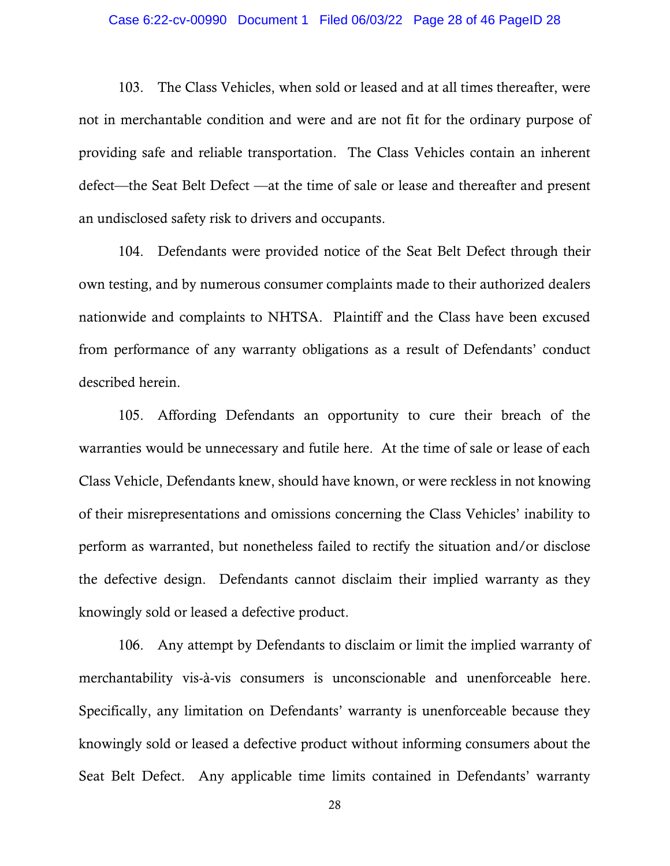#### Case 6:22-cv-00990 Document 1 Filed 06/03/22 Page 28 of 46 PageID 28

103. The Class Vehicles, when sold or leased and at all times thereafter, were not in merchantable condition and were and are not fit for the ordinary purpose of providing safe and reliable transportation. The Class Vehicles contain an inherent defect—the Seat Belt Defect —at the time of sale or lease and thereafter and present an undisclosed safety risk to drivers and occupants.

104. Defendants were provided notice of the Seat Belt Defect through their own testing, and by numerous consumer complaints made to their authorized dealers nationwide and complaints to NHTSA. Plaintiff and the Class have been excused from performance of any warranty obligations as a result of Defendants' conduct described herein.

105. Affording Defendants an opportunity to cure their breach of the warranties would be unnecessary and futile here. At the time of sale or lease of each Class Vehicle, Defendants knew, should have known, or were reckless in not knowing of their misrepresentations and omissions concerning the Class Vehicles' inability to perform as warranted, but nonetheless failed to rectify the situation and/or disclose the defective design. Defendants cannot disclaim their implied warranty as they knowingly sold or leased a defective product.

106. Any attempt by Defendants to disclaim or limit the implied warranty of merchantability vis-à-vis consumers is unconscionable and unenforceable here. Specifically, any limitation on Defendants' warranty is unenforceable because they knowingly sold or leased a defective product without informing consumers about the Seat Belt Defect. Any applicable time limits contained in Defendants' warranty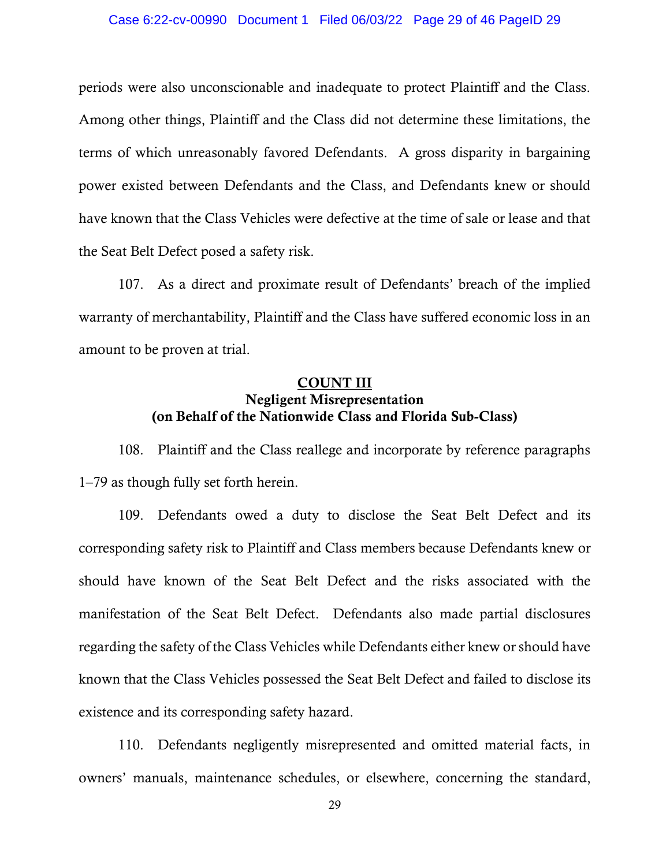periods were also unconscionable and inadequate to protect Plaintiff and the Class. Among other things, Plaintiff and the Class did not determine these limitations, the terms of which unreasonably favored Defendants. A gross disparity in bargaining power existed between Defendants and the Class, and Defendants knew or should have known that the Class Vehicles were defective at the time of sale or lease and that the Seat Belt Defect posed a safety risk.

107. As a direct and proximate result of Defendants' breach of the implied warranty of merchantability, Plaintiff and the Class have suffered economic loss in an amount to be proven at trial.

# COUNT III Negligent Misrepresentation (on Behalf of the Nationwide Class and Florida Sub-Class)

108. Plaintiff and the Class reallege and incorporate by reference paragraphs 1–79 as though fully set forth herein.

109. Defendants owed a duty to disclose the Seat Belt Defect and its corresponding safety risk to Plaintiff and Class members because Defendants knew or should have known of the Seat Belt Defect and the risks associated with the manifestation of the Seat Belt Defect. Defendants also made partial disclosures regarding the safety of the Class Vehicles while Defendants either knew or should have known that the Class Vehicles possessed the Seat Belt Defect and failed to disclose its existence and its corresponding safety hazard.

110. Defendants negligently misrepresented and omitted material facts, in owners' manuals, maintenance schedules, or elsewhere, concerning the standard,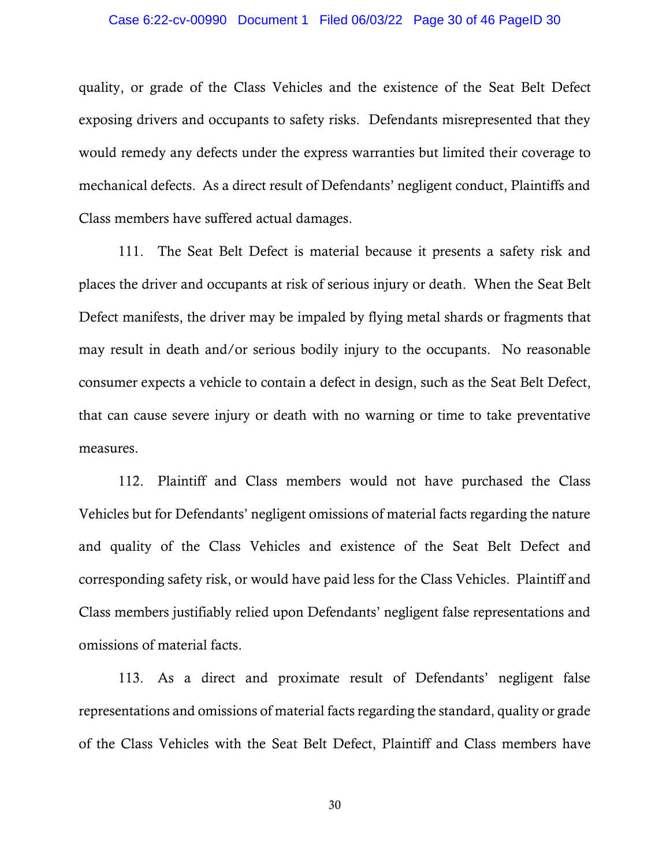quality, or grade of the Class Vehicles and the existence of the Seat Belt Defect exposing drivers and occupants to safety risks. Defendants misrepresented that they would remedy any defects under the express warranties but limited their coverage to mechanical defects. As a direct result of Defendants' negligent conduct, Plaintiffs and Class members have suffered actual damages.

111. The Seat Belt Defect is material because it presents a safety risk and places the driver and occupants at risk of serious injury or death. When the Seat Belt Defect manifests, the driver may be impaled by flying metal shards or fragments that may result in death and/or serious bodily injury to the occupants. No reasonable consumer expects a vehicle to contain a defect in design, such as the Seat Belt Defect, that can cause severe injury or death with no warning or time to take preventative measures.

112. Plaintiff and Class members would not have purchased the Class Vehicles but for Defendants' negligent omissions of material facts regarding the nature and quality of the Class Vehicles and existence of the Seat Belt Defect and corresponding safety risk, or would have paid less for the Class Vehicles. Plaintiff and Class members justifiably relied upon Defendants' negligent false representations and omissions of material facts.

113. As a direct and proximate result of Defendants' negligent false representations and omissions of material facts regarding the standard, quality or grade of the Class Vehicles with the Seat Belt Defect, Plaintiff and Class members have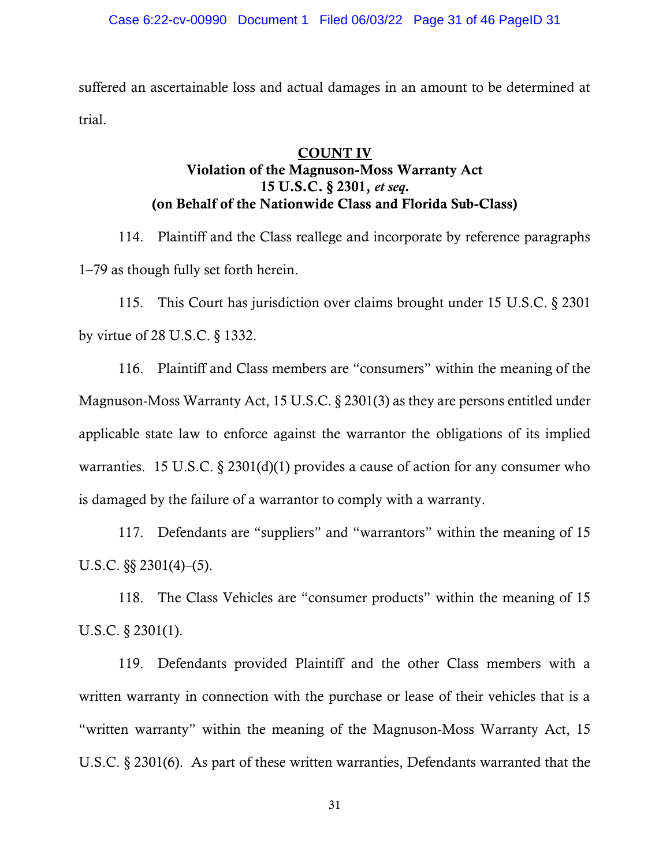suffered an ascertainable loss and actual damages in an amount to be determined at trial.

# COUNT IV Violation of the Magnuson-Moss Warranty Act 15 U.S.C. § 2301, *et seq.* (on Behalf of the Nationwide Class and Florida Sub-Class)

114. Plaintiff and the Class reallege and incorporate by reference paragraphs 1–79 as though fully set forth herein.

115. This Court has jurisdiction over claims brought under 15 U.S.C. § 2301 by virtue of 28 U.S.C. § 1332.

116. Plaintiff and Class members are "consumers" within the meaning of the Magnuson-Moss Warranty Act, 15 U.S.C. § 2301(3) as they are persons entitled under applicable state law to enforce against the warrantor the obligations of its implied warranties. 15 U.S.C.  $\S 2301(d)(1)$  provides a cause of action for any consumer who is damaged by the failure of a warrantor to comply with a warranty.

117. Defendants are "suppliers" and "warrantors" within the meaning of 15 U.S.C.  $\S$ § 2301(4)–(5).

118. The Class Vehicles are "consumer products" within the meaning of 15 U.S.C. § 2301(1).

119. Defendants provided Plaintiff and the other Class members with a written warranty in connection with the purchase or lease of their vehicles that is a "written warranty" within the meaning of the Magnuson-Moss Warranty Act, 15 U.S.C. § 2301(6). As part of these written warranties, Defendants warranted that the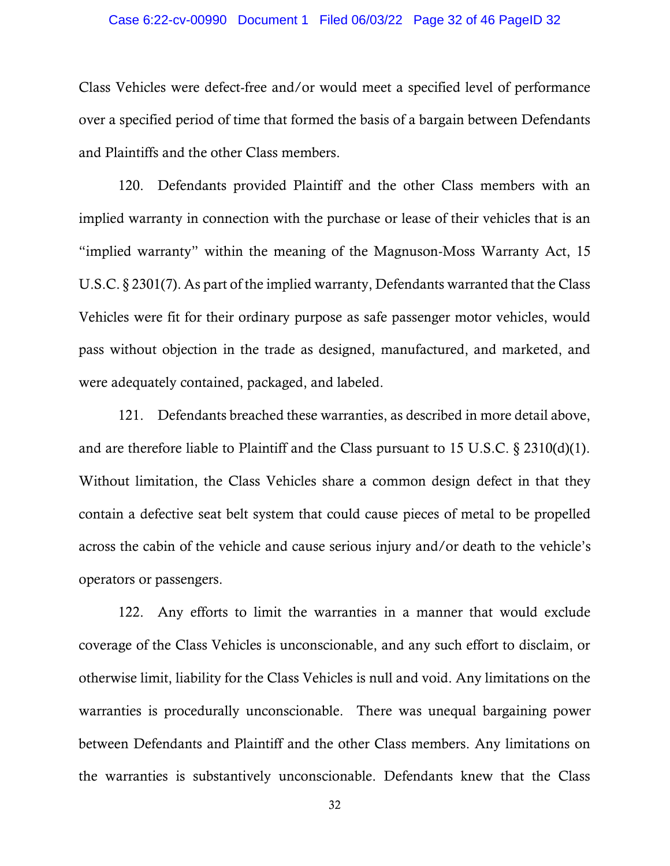### Case 6:22-cv-00990 Document 1 Filed 06/03/22 Page 32 of 46 PageID 32

Class Vehicles were defect-free and/or would meet a specified level of performance over a specified period of time that formed the basis of a bargain between Defendants and Plaintiffs and the other Class members.

120. Defendants provided Plaintiff and the other Class members with an implied warranty in connection with the purchase or lease of their vehicles that is an "implied warranty" within the meaning of the Magnuson-Moss Warranty Act, 15 U.S.C. § 2301(7). As part of the implied warranty, Defendants warranted that the Class Vehicles were fit for their ordinary purpose as safe passenger motor vehicles, would pass without objection in the trade as designed, manufactured, and marketed, and were adequately contained, packaged, and labeled.

121. Defendants breached these warranties, as described in more detail above, and are therefore liable to Plaintiff and the Class pursuant to 15 U.S.C. § 2310(d)(1). Without limitation, the Class Vehicles share a common design defect in that they contain a defective seat belt system that could cause pieces of metal to be propelled across the cabin of the vehicle and cause serious injury and/or death to the vehicle's operators or passengers.

122. Any efforts to limit the warranties in a manner that would exclude coverage of the Class Vehicles is unconscionable, and any such effort to disclaim, or otherwise limit, liability for the Class Vehicles is null and void. Any limitations on the warranties is procedurally unconscionable. There was unequal bargaining power between Defendants and Plaintiff and the other Class members. Any limitations on the warranties is substantively unconscionable. Defendants knew that the Class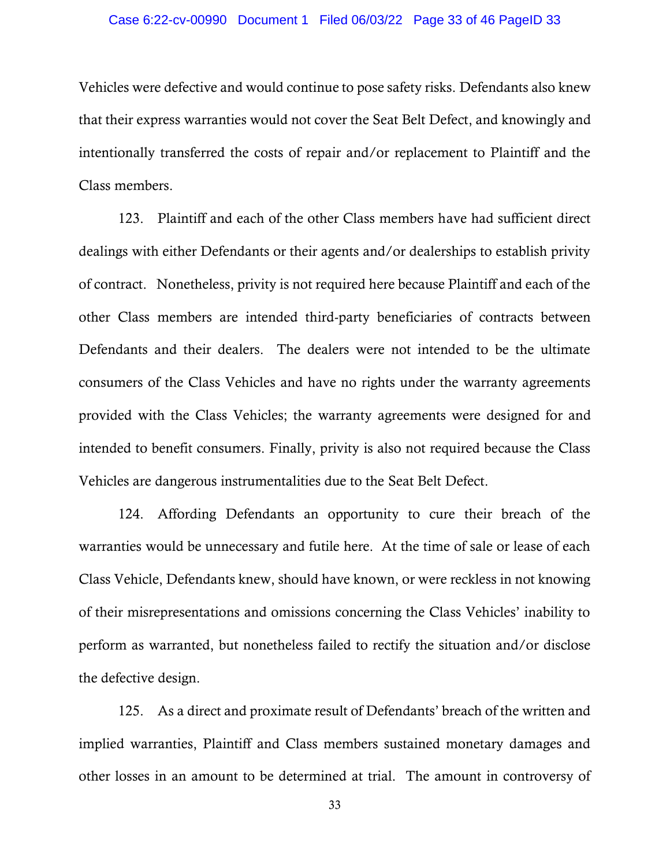### Case 6:22-cv-00990 Document 1 Filed 06/03/22 Page 33 of 46 PageID 33

Vehicles were defective and would continue to pose safety risks. Defendants also knew that their express warranties would not cover the Seat Belt Defect, and knowingly and intentionally transferred the costs of repair and/or replacement to Plaintiff and the Class members.

123. Plaintiff and each of the other Class members have had sufficient direct dealings with either Defendants or their agents and/or dealerships to establish privity of contract. Nonetheless, privity is not required here because Plaintiff and each of the other Class members are intended third-party beneficiaries of contracts between Defendants and their dealers. The dealers were not intended to be the ultimate consumers of the Class Vehicles and have no rights under the warranty agreements provided with the Class Vehicles; the warranty agreements were designed for and intended to benefit consumers. Finally, privity is also not required because the Class Vehicles are dangerous instrumentalities due to the Seat Belt Defect.

124. Affording Defendants an opportunity to cure their breach of the warranties would be unnecessary and futile here. At the time of sale or lease of each Class Vehicle, Defendants knew, should have known, or were reckless in not knowing of their misrepresentations and omissions concerning the Class Vehicles' inability to perform as warranted, but nonetheless failed to rectify the situation and/or disclose the defective design.

125. As a direct and proximate result of Defendants' breach of the written and implied warranties, Plaintiff and Class members sustained monetary damages and other losses in an amount to be determined at trial. The amount in controversy of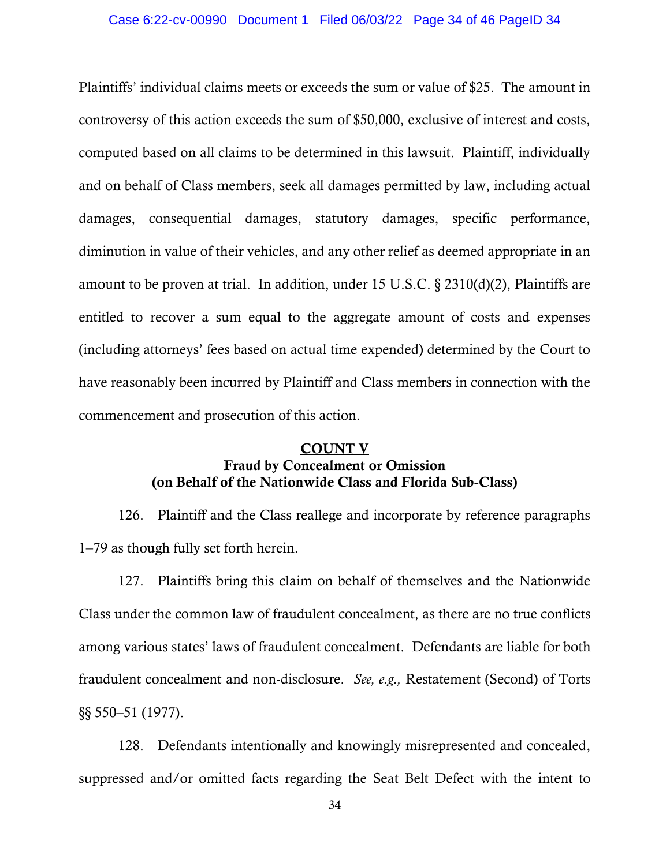Plaintiffs' individual claims meets or exceeds the sum or value of \$25. The amount in controversy of this action exceeds the sum of \$50,000, exclusive of interest and costs, computed based on all claims to be determined in this lawsuit. Plaintiff, individually and on behalf of Class members, seek all damages permitted by law, including actual damages, consequential damages, statutory damages, specific performance, diminution in value of their vehicles, and any other relief as deemed appropriate in an amount to be proven at trial. In addition, under 15 U.S.C. § 2310(d)(2), Plaintiffs are entitled to recover a sum equal to the aggregate amount of costs and expenses (including attorneys' fees based on actual time expended) determined by the Court to have reasonably been incurred by Plaintiff and Class members in connection with the commencement and prosecution of this action.

# COUNT V Fraud by Concealment or Omission (on Behalf of the Nationwide Class and Florida Sub-Class)

126. Plaintiff and the Class reallege and incorporate by reference paragraphs 1–79 as though fully set forth herein.

127. Plaintiffs bring this claim on behalf of themselves and the Nationwide Class under the common law of fraudulent concealment, as there are no true conflicts among various states' laws of fraudulent concealment. Defendants are liable for both fraudulent concealment and non-disclosure. *See, e.g.,* Restatement (Second) of Torts §§ 550–51 (1977).

128. Defendants intentionally and knowingly misrepresented and concealed, suppressed and/or omitted facts regarding the Seat Belt Defect with the intent to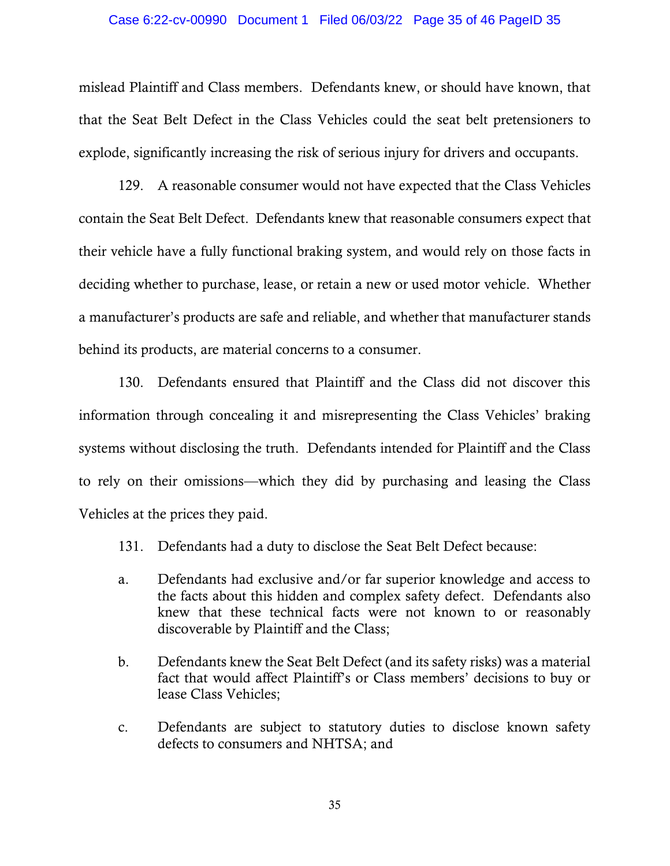#### Case 6:22-cv-00990 Document 1 Filed 06/03/22 Page 35 of 46 PageID 35

mislead Plaintiff and Class members. Defendants knew, or should have known, that that the Seat Belt Defect in the Class Vehicles could the seat belt pretensioners to explode, significantly increasing the risk of serious injury for drivers and occupants.

129. A reasonable consumer would not have expected that the Class Vehicles contain the Seat Belt Defect. Defendants knew that reasonable consumers expect that their vehicle have a fully functional braking system, and would rely on those facts in deciding whether to purchase, lease, or retain a new or used motor vehicle. Whether a manufacturer's products are safe and reliable, and whether that manufacturer stands behind its products, are material concerns to a consumer.

130. Defendants ensured that Plaintiff and the Class did not discover this information through concealing it and misrepresenting the Class Vehicles' braking systems without disclosing the truth. Defendants intended for Plaintiff and the Class to rely on their omissions—which they did by purchasing and leasing the Class Vehicles at the prices they paid.

- 131. Defendants had a duty to disclose the Seat Belt Defect because:
- a. Defendants had exclusive and/or far superior knowledge and access to the facts about this hidden and complex safety defect. Defendants also knew that these technical facts were not known to or reasonably discoverable by Plaintiff and the Class;
- b. Defendants knew the Seat Belt Defect (and its safety risks) was a material fact that would affect Plaintiff's or Class members' decisions to buy or lease Class Vehicles;
- c. Defendants are subject to statutory duties to disclose known safety defects to consumers and NHTSA; and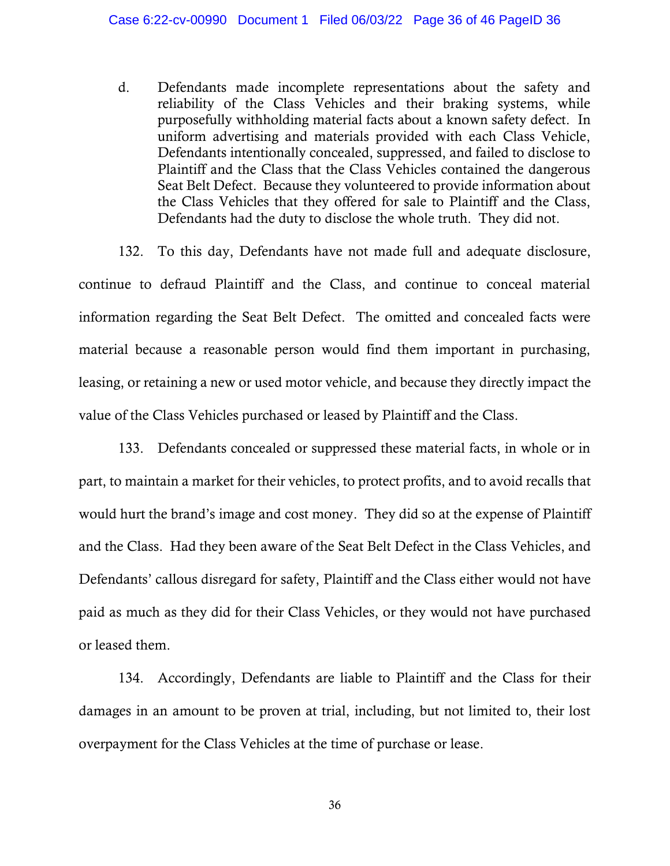d. Defendants made incomplete representations about the safety and reliability of the Class Vehicles and their braking systems, while purposefully withholding material facts about a known safety defect. In uniform advertising and materials provided with each Class Vehicle, Defendants intentionally concealed, suppressed, and failed to disclose to Plaintiff and the Class that the Class Vehicles contained the dangerous Seat Belt Defect. Because they volunteered to provide information about the Class Vehicles that they offered for sale to Plaintiff and the Class, Defendants had the duty to disclose the whole truth. They did not.

132. To this day, Defendants have not made full and adequate disclosure, continue to defraud Plaintiff and the Class, and continue to conceal material information regarding the Seat Belt Defect. The omitted and concealed facts were material because a reasonable person would find them important in purchasing, leasing, or retaining a new or used motor vehicle, and because they directly impact the value of the Class Vehicles purchased or leased by Plaintiff and the Class.

133. Defendants concealed or suppressed these material facts, in whole or in part, to maintain a market for their vehicles, to protect profits, and to avoid recalls that would hurt the brand's image and cost money. They did so at the expense of Plaintiff and the Class. Had they been aware of the Seat Belt Defect in the Class Vehicles, and Defendants' callous disregard for safety, Plaintiff and the Class either would not have paid as much as they did for their Class Vehicles, or they would not have purchased or leased them.

134. Accordingly, Defendants are liable to Plaintiff and the Class for their damages in an amount to be proven at trial, including, but not limited to, their lost overpayment for the Class Vehicles at the time of purchase or lease.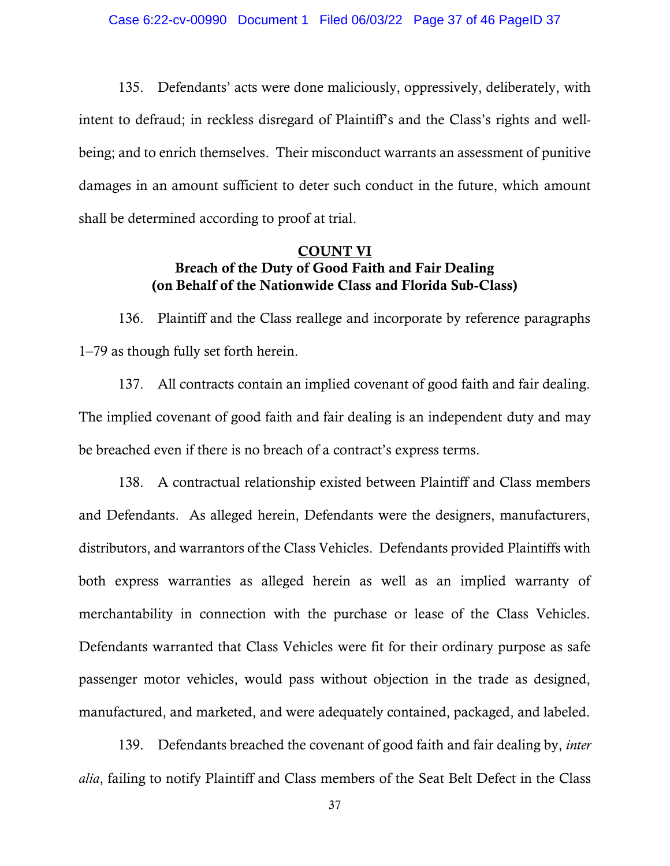135. Defendants' acts were done maliciously, oppressively, deliberately, with intent to defraud; in reckless disregard of Plaintiff's and the Class's rights and wellbeing; and to enrich themselves. Their misconduct warrants an assessment of punitive damages in an amount sufficient to deter such conduct in the future, which amount shall be determined according to proof at trial.

### COUNT VI Breach of the Duty of Good Faith and Fair Dealing (on Behalf of the Nationwide Class and Florida Sub-Class)

136. Plaintiff and the Class reallege and incorporate by reference paragraphs 1–79 as though fully set forth herein.

137. All contracts contain an implied covenant of good faith and fair dealing. The implied covenant of good faith and fair dealing is an independent duty and may be breached even if there is no breach of a contract's express terms.

138. A contractual relationship existed between Plaintiff and Class members and Defendants. As alleged herein, Defendants were the designers, manufacturers, distributors, and warrantors of the Class Vehicles. Defendants provided Plaintiffs with both express warranties as alleged herein as well as an implied warranty of merchantability in connection with the purchase or lease of the Class Vehicles. Defendants warranted that Class Vehicles were fit for their ordinary purpose as safe passenger motor vehicles, would pass without objection in the trade as designed, manufactured, and marketed, and were adequately contained, packaged, and labeled.

139. Defendants breached the covenant of good faith and fair dealing by, *inter alia*, failing to notify Plaintiff and Class members of the Seat Belt Defect in the Class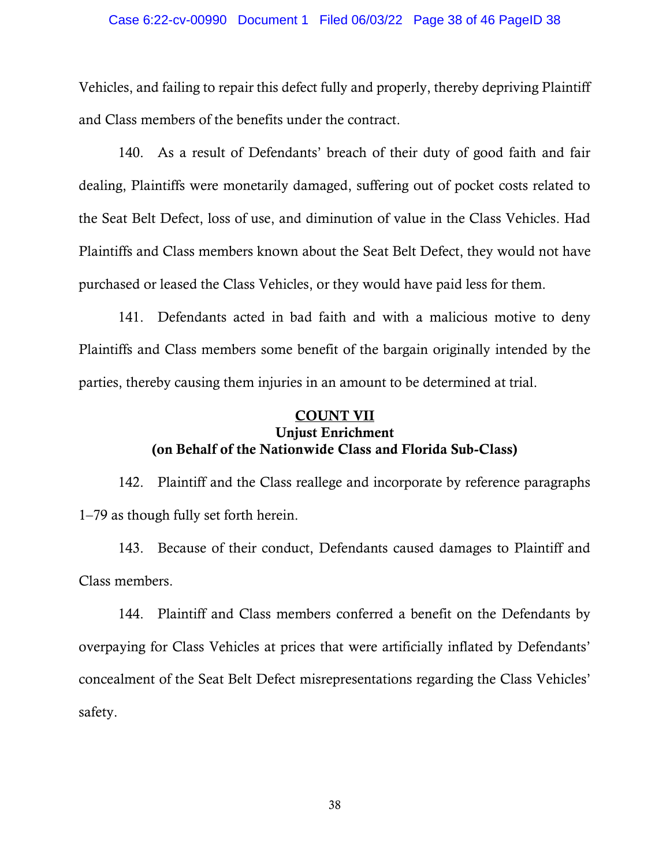#### Case 6:22-cv-00990 Document 1 Filed 06/03/22 Page 38 of 46 PageID 38

Vehicles, and failing to repair this defect fully and properly, thereby depriving Plaintiff and Class members of the benefits under the contract.

140. As a result of Defendants' breach of their duty of good faith and fair dealing, Plaintiffs were monetarily damaged, suffering out of pocket costs related to the Seat Belt Defect, loss of use, and diminution of value in the Class Vehicles. Had Plaintiffs and Class members known about the Seat Belt Defect, they would not have purchased or leased the Class Vehicles, or they would have paid less for them.

141. Defendants acted in bad faith and with a malicious motive to deny Plaintiffs and Class members some benefit of the bargain originally intended by the parties, thereby causing them injuries in an amount to be determined at trial.

# COUNT VII Unjust Enrichment (on Behalf of the Nationwide Class and Florida Sub-Class)

142. Plaintiff and the Class reallege and incorporate by reference paragraphs 1–79 as though fully set forth herein.

143. Because of their conduct, Defendants caused damages to Plaintiff and Class members.

144. Plaintiff and Class members conferred a benefit on the Defendants by overpaying for Class Vehicles at prices that were artificially inflated by Defendants' concealment of the Seat Belt Defect misrepresentations regarding the Class Vehicles' safety.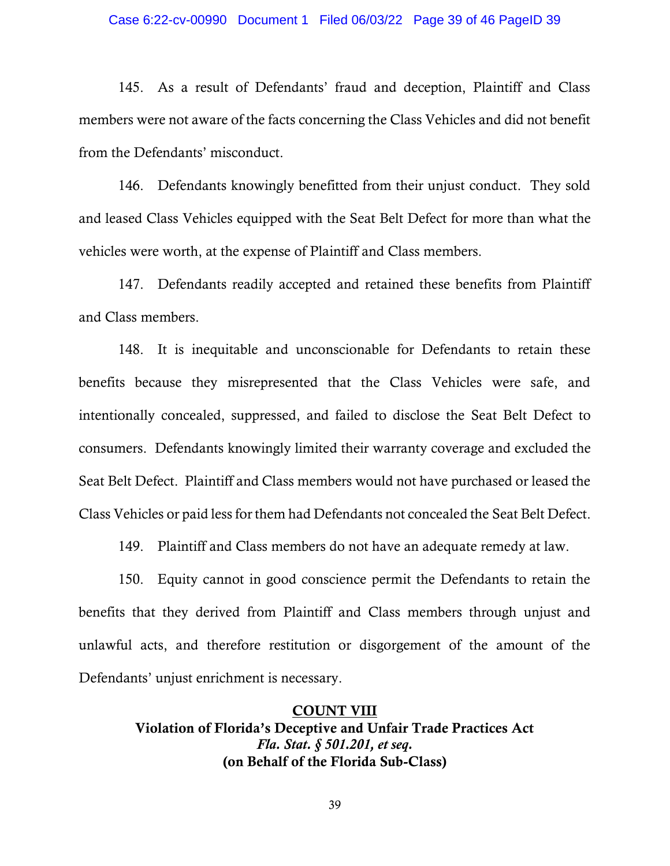#### Case 6:22-cv-00990 Document 1 Filed 06/03/22 Page 39 of 46 PageID 39

145. As a result of Defendants' fraud and deception, Plaintiff and Class members were not aware of the facts concerning the Class Vehicles and did not benefit from the Defendants' misconduct.

146. Defendants knowingly benefitted from their unjust conduct. They sold and leased Class Vehicles equipped with the Seat Belt Defect for more than what the vehicles were worth, at the expense of Plaintiff and Class members.

147. Defendants readily accepted and retained these benefits from Plaintiff and Class members.

148. It is inequitable and unconscionable for Defendants to retain these benefits because they misrepresented that the Class Vehicles were safe, and intentionally concealed, suppressed, and failed to disclose the Seat Belt Defect to consumers. Defendants knowingly limited their warranty coverage and excluded the Seat Belt Defect. Plaintiff and Class members would not have purchased or leased the Class Vehicles or paid less for them had Defendants not concealed the Seat Belt Defect.

149. Plaintiff and Class members do not have an adequate remedy at law.

150. Equity cannot in good conscience permit the Defendants to retain the benefits that they derived from Plaintiff and Class members through unjust and unlawful acts, and therefore restitution or disgorgement of the amount of the Defendants' unjust enrichment is necessary.

> COUNT VIII Violation of Florida's Deceptive and Unfair Trade Practices Act *Fla. Stat. § 501.201, et seq.* (on Behalf of the Florida Sub-Class)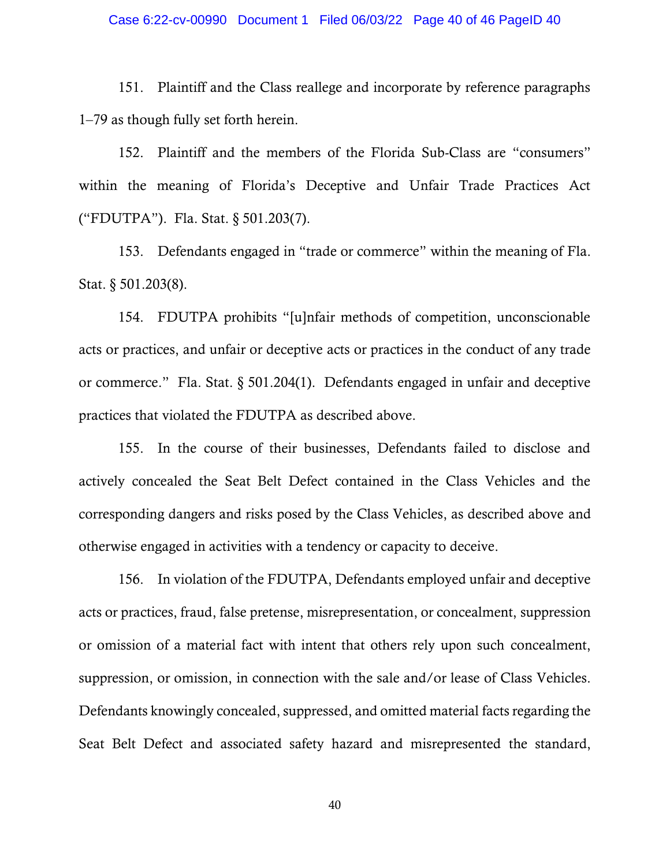#### Case 6:22-cv-00990 Document 1 Filed 06/03/22 Page 40 of 46 PageID 40

151. Plaintiff and the Class reallege and incorporate by reference paragraphs 1–79 as though fully set forth herein.

152. Plaintiff and the members of the Florida Sub-Class are "consumers" within the meaning of Florida's Deceptive and Unfair Trade Practices Act ("FDUTPA"). Fla. Stat. § 501.203(7).

153. Defendants engaged in "trade or commerce" within the meaning of Fla. Stat. § 501.203(8).

154. FDUTPA prohibits "[u]nfair methods of competition, unconscionable acts or practices, and unfair or deceptive acts or practices in the conduct of any trade or commerce." Fla. Stat. § 501.204(1). Defendants engaged in unfair and deceptive practices that violated the FDUTPA as described above.

155. In the course of their businesses, Defendants failed to disclose and actively concealed the Seat Belt Defect contained in the Class Vehicles and the corresponding dangers and risks posed by the Class Vehicles, as described above and otherwise engaged in activities with a tendency or capacity to deceive.

156. In violation of the FDUTPA, Defendants employed unfair and deceptive acts or practices, fraud, false pretense, misrepresentation, or concealment, suppression or omission of a material fact with intent that others rely upon such concealment, suppression, or omission, in connection with the sale and/or lease of Class Vehicles. Defendants knowingly concealed, suppressed, and omitted material facts regarding the Seat Belt Defect and associated safety hazard and misrepresented the standard,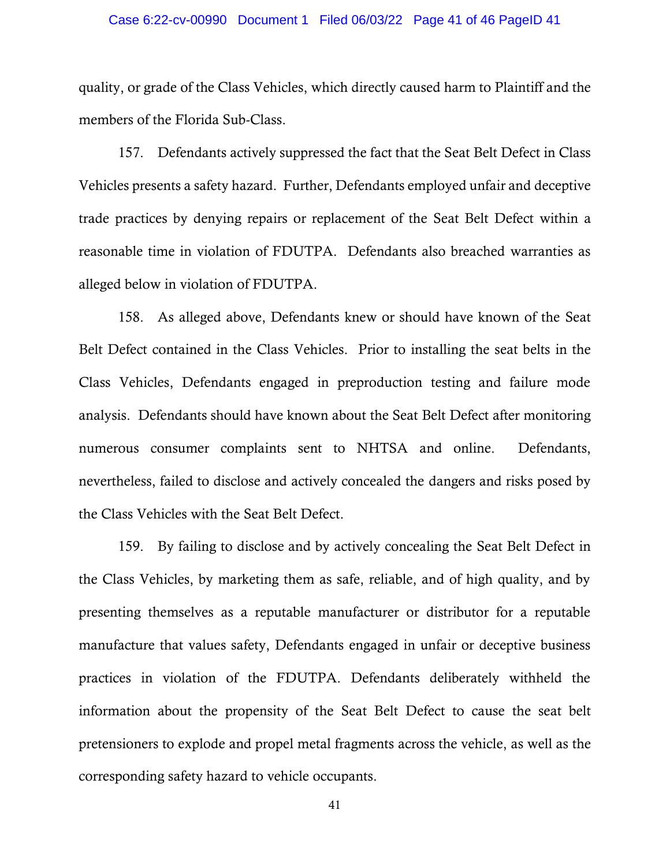#### Case 6:22-cv-00990 Document 1 Filed 06/03/22 Page 41 of 46 PageID 41

quality, or grade of the Class Vehicles, which directly caused harm to Plaintiff and the members of the Florida Sub-Class.

157. Defendants actively suppressed the fact that the Seat Belt Defect in Class Vehicles presents a safety hazard. Further, Defendants employed unfair and deceptive trade practices by denying repairs or replacement of the Seat Belt Defect within a reasonable time in violation of FDUTPA. Defendants also breached warranties as alleged below in violation of FDUTPA.

158. As alleged above, Defendants knew or should have known of the Seat Belt Defect contained in the Class Vehicles. Prior to installing the seat belts in the Class Vehicles, Defendants engaged in preproduction testing and failure mode analysis. Defendants should have known about the Seat Belt Defect after monitoring numerous consumer complaints sent to NHTSA and online. Defendants, nevertheless, failed to disclose and actively concealed the dangers and risks posed by the Class Vehicles with the Seat Belt Defect.

159. By failing to disclose and by actively concealing the Seat Belt Defect in the Class Vehicles, by marketing them as safe, reliable, and of high quality, and by presenting themselves as a reputable manufacturer or distributor for a reputable manufacture that values safety, Defendants engaged in unfair or deceptive business practices in violation of the FDUTPA. Defendants deliberately withheld the information about the propensity of the Seat Belt Defect to cause the seat belt pretensioners to explode and propel metal fragments across the vehicle, as well as the corresponding safety hazard to vehicle occupants.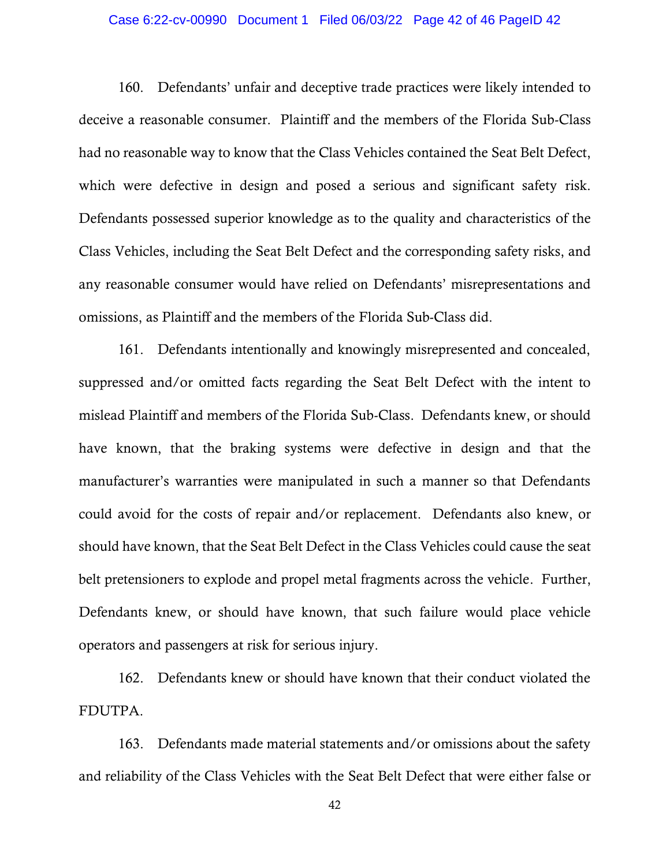### Case 6:22-cv-00990 Document 1 Filed 06/03/22 Page 42 of 46 PageID 42

160. Defendants' unfair and deceptive trade practices were likely intended to deceive a reasonable consumer. Plaintiff and the members of the Florida Sub-Class had no reasonable way to know that the Class Vehicles contained the Seat Belt Defect, which were defective in design and posed a serious and significant safety risk. Defendants possessed superior knowledge as to the quality and characteristics of the Class Vehicles, including the Seat Belt Defect and the corresponding safety risks, and any reasonable consumer would have relied on Defendants' misrepresentations and omissions, as Plaintiff and the members of the Florida Sub-Class did.

161. Defendants intentionally and knowingly misrepresented and concealed, suppressed and/or omitted facts regarding the Seat Belt Defect with the intent to mislead Plaintiff and members of the Florida Sub-Class. Defendants knew, or should have known, that the braking systems were defective in design and that the manufacturer's warranties were manipulated in such a manner so that Defendants could avoid for the costs of repair and/or replacement. Defendants also knew, or should have known, that the Seat Belt Defect in the Class Vehicles could cause the seat belt pretensioners to explode and propel metal fragments across the vehicle. Further, Defendants knew, or should have known, that such failure would place vehicle operators and passengers at risk for serious injury.

162. Defendants knew or should have known that their conduct violated the FDUTPA.

163. Defendants made material statements and/or omissions about the safety and reliability of the Class Vehicles with the Seat Belt Defect that were either false or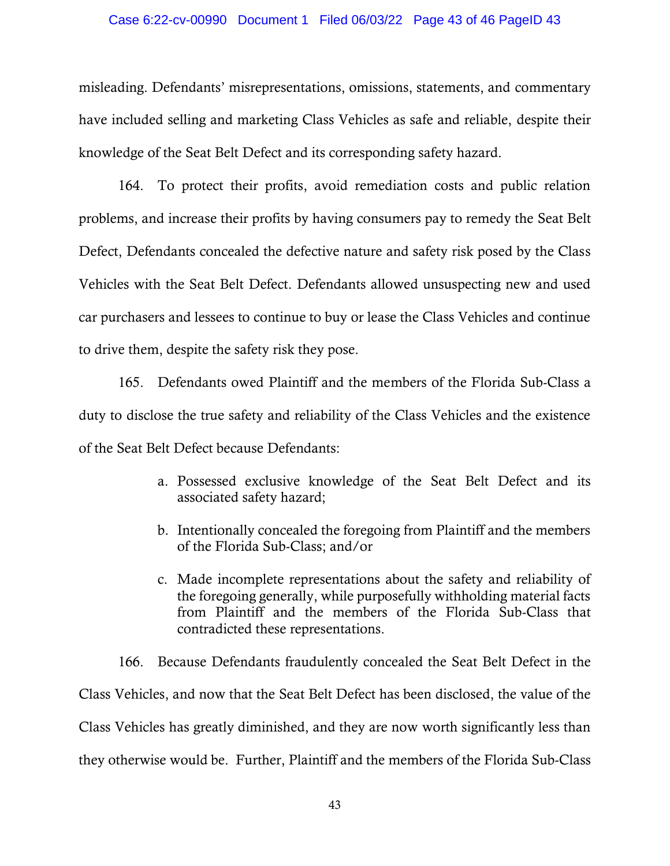#### Case 6:22-cv-00990 Document 1 Filed 06/03/22 Page 43 of 46 PageID 43

misleading. Defendants' misrepresentations, omissions, statements, and commentary have included selling and marketing Class Vehicles as safe and reliable, despite their knowledge of the Seat Belt Defect and its corresponding safety hazard.

164. To protect their profits, avoid remediation costs and public relation problems, and increase their profits by having consumers pay to remedy the Seat Belt Defect, Defendants concealed the defective nature and safety risk posed by the Class Vehicles with the Seat Belt Defect. Defendants allowed unsuspecting new and used car purchasers and lessees to continue to buy or lease the Class Vehicles and continue to drive them, despite the safety risk they pose.

165. Defendants owed Plaintiff and the members of the Florida Sub-Class a duty to disclose the true safety and reliability of the Class Vehicles and the existence of the Seat Belt Defect because Defendants:

- a. Possessed exclusive knowledge of the Seat Belt Defect and its associated safety hazard;
- b. Intentionally concealed the foregoing from Plaintiff and the members of the Florida Sub-Class; and/or
- c. Made incomplete representations about the safety and reliability of the foregoing generally, while purposefully withholding material facts from Plaintiff and the members of the Florida Sub-Class that contradicted these representations.

166. Because Defendants fraudulently concealed the Seat Belt Defect in the Class Vehicles, and now that the Seat Belt Defect has been disclosed, the value of the Class Vehicles has greatly diminished, and they are now worth significantly less than they otherwise would be. Further, Plaintiff and the members of the Florida Sub-Class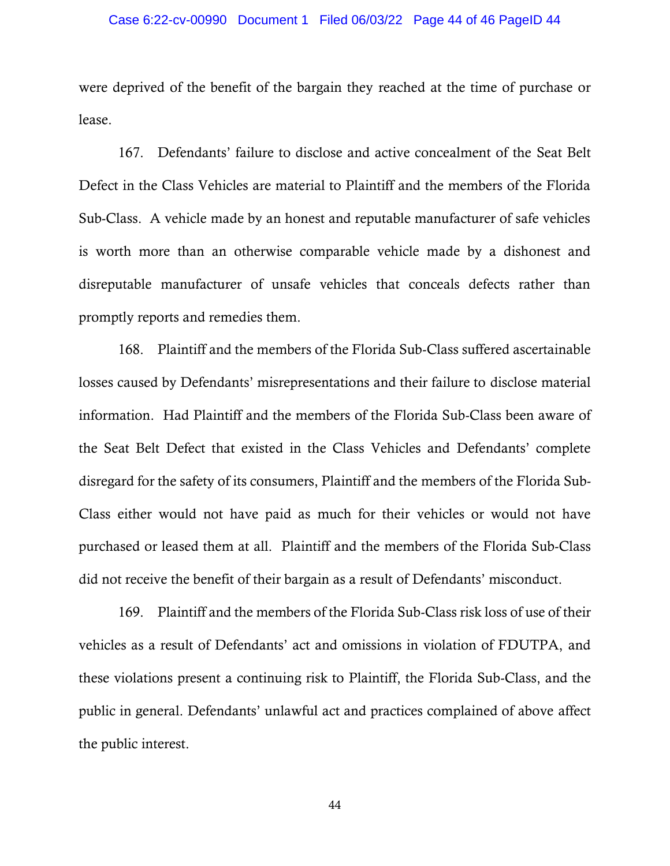### Case 6:22-cv-00990 Document 1 Filed 06/03/22 Page 44 of 46 PageID 44

were deprived of the benefit of the bargain they reached at the time of purchase or lease.

167. Defendants' failure to disclose and active concealment of the Seat Belt Defect in the Class Vehicles are material to Plaintiff and the members of the Florida Sub-Class. A vehicle made by an honest and reputable manufacturer of safe vehicles is worth more than an otherwise comparable vehicle made by a dishonest and disreputable manufacturer of unsafe vehicles that conceals defects rather than promptly reports and remedies them.

168. Plaintiff and the members of the Florida Sub-Class suffered ascertainable losses caused by Defendants' misrepresentations and their failure to disclose material information. Had Plaintiff and the members of the Florida Sub-Class been aware of the Seat Belt Defect that existed in the Class Vehicles and Defendants' complete disregard for the safety of its consumers, Plaintiff and the members of the Florida Sub-Class either would not have paid as much for their vehicles or would not have purchased or leased them at all. Plaintiff and the members of the Florida Sub-Class did not receive the benefit of their bargain as a result of Defendants' misconduct.

169. Plaintiff and the members of the Florida Sub-Class risk loss of use of their vehicles as a result of Defendants' act and omissions in violation of FDUTPA, and these violations present a continuing risk to Plaintiff, the Florida Sub-Class, and the public in general. Defendants' unlawful act and practices complained of above affect the public interest.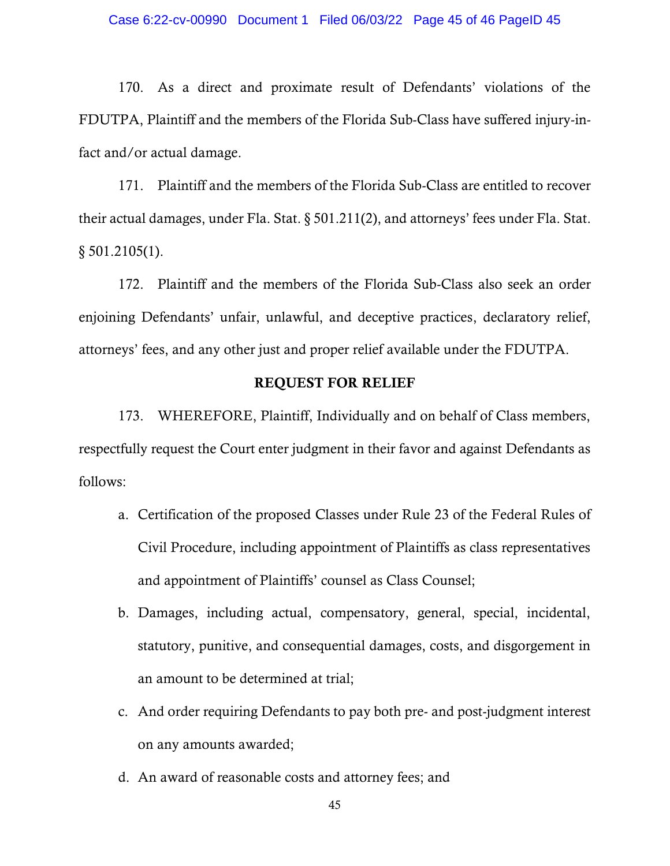170. As a direct and proximate result of Defendants' violations of the FDUTPA, Plaintiff and the members of the Florida Sub-Class have suffered injury-infact and/or actual damage.

171. Plaintiff and the members of the Florida Sub-Class are entitled to recover their actual damages, under Fla. Stat. § 501.211(2), and attorneys' fees under Fla. Stat.  $§ 501.2105(1).$ 

172. Plaintiff and the members of the Florida Sub-Class also seek an order enjoining Defendants' unfair, unlawful, and deceptive practices, declaratory relief, attorneys' fees, and any other just and proper relief available under the FDUTPA.

### REQUEST FOR RELIEF

173. WHEREFORE, Plaintiff, Individually and on behalf of Class members, respectfully request the Court enter judgment in their favor and against Defendants as follows:

- a. Certification of the proposed Classes under Rule 23 of the Federal Rules of Civil Procedure, including appointment of Plaintiffs as class representatives and appointment of Plaintiffs' counsel as Class Counsel;
- b. Damages, including actual, compensatory, general, special, incidental, statutory, punitive, and consequential damages, costs, and disgorgement in an amount to be determined at trial;
- c. And order requiring Defendants to pay both pre- and post-judgment interest on any amounts awarded;
- d. An award of reasonable costs and attorney fees; and